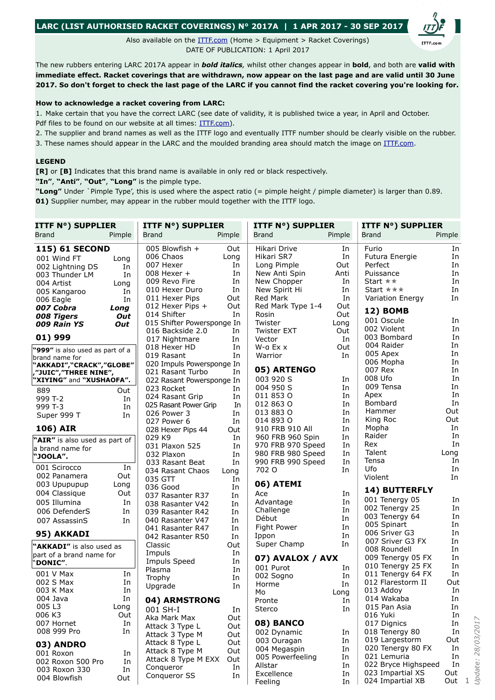## **LARC (LIST AUTHORISED RACKET COVERINGS) N° 2017A | 1 APR 2017 - 30 SEP 2017**

Also available on the **ITTE.com** (Home > Equipment > Racket Coverings) DATE OF PUBLICATION: 1 April 2017

The new rubbers entering LARC 2017A appear in *bold italics,* whilst other changes appear in **bold**, and both are **valid with immediate effect. Racket coverings that are withdrawn, now appear on the last page and are valid until 30 June 2017. So don't forget to check the last page of the LARC if you cannot find the racket covering you're looking for.**

## **How to acknowledge a racket covering from LARC:**

1. Make certain that you have the correct LARC (see date of validity, it is published twice a year, in April and October. Pdf files to be found on our website at all times: [ITTF.com](http://www.old.ittf.com/_front_page/ittf1.asp?category=rubber)).

2. The supplier and brand names as well as the ITTF logo and eventually ITTF number should be clearly visible on the rubber.

3. These names should appear in the LARC and the moulded branding area should match the image on [ITTF.com.](http://www.old.ittf.com/_front_page/ittf1.asp?category=rubber)

## **LEGEND**

**[R]** or **[B]** Indicates that this brand name is available in only red or black respectively.

**"In"**, **"Anti"**, **"Out"**, **"Long"** is the pimple type.

**"Long"** Under `Pimple Type', this is used where the aspect ratio (= pimple height / pimple diameter) is larger than 0.89. **01)** Supplier number, may appear in the rubber mould together with the ITTF logo.

| <b>ITTF N°) SUPPLIER</b>        |        | <b>ITTF N°) SUPPLIER</b>    |          | <b>ITTF N°) SUPPLIER</b>               |          | <b>ITTF N°) SUPPLIER</b>                |            |
|---------------------------------|--------|-----------------------------|----------|----------------------------------------|----------|-----------------------------------------|------------|
| <b>Brand</b>                    | Pimple | <b>Brand</b>                | Pimple   | <b>Brand</b>                           | Pimple   | <b>Brand</b>                            | Pimple     |
| <b>115) 61 SECOND</b>           |        | 005 Blowfish +              | Out      | Hikari Drive                           | In       | Furio                                   | In         |
| 001 Wind FT                     | Long   | 006 Chaos                   | Long     | Hikari SR7                             | In       | Futura Energie                          | In         |
| 002 Lightning DS                | In     | 007 Hexer                   | In       | Long Pimple                            | Out      | Perfect                                 | In         |
| 003 Thunder LM                  | In     | 008 Hexer +                 | In       | New Anti Spin                          | Anti     | Puissance                               | In         |
| 004 Artist                      | Long   | 009 Revo Fire               | In       | New Chopper                            | In       | Start $\star \star$                     | In         |
| 005 Kangaroo                    | In     | 010 Hexer Duro              | In       | New Spirit Hi                          | In       | Start $\star \star \star$               | In         |
| 006 Eagle                       | In     | 011 Hexer Pips              | Out      | Red Mark                               | In       | Variation Energy                        | In         |
| 007 Cobra                       | Long   | 012 Hexer Pips +            | Out      | Red Mark Type 1-4                      | Out      |                                         |            |
| 008 Tigers                      | Out    | 014 Shifter                 | In       | Rosin                                  | Out      | <b>12) BOMB</b>                         |            |
| 009 Rain YS                     | Out    | 015 Shifter Powersponge In  |          | Twister                                | Long     | 001 Oscule                              | In         |
|                                 |        | 016 Backside 2.0            | In       | <b>Twister EXT</b>                     | Out      | 002 Violent                             | In         |
| 01) 999                         |        | 017 Nightmare               | In       | Vector                                 | In       | 003 Bombard                             | In         |
| "999" is also used as part of a |        | 018 Hexer HD                | In       | W-a Ex x                               | Out      | 004 Raider                              | In         |
| brand name for                  |        | 019 Rasant                  | In       | Warrior                                | In       | 005 Apex                                | In         |
| "AKKADI","CRACK","GLOBE"        |        | 020 Impuls Powersponge In   |          |                                        |          | 006 Mopha                               | In         |
| ,"JUIC","THREE NINE",           |        | 021 Rasant Turbo            | In       | 05) ARTENGO                            |          | 007 Rex                                 | In         |
| "XIYING" and "XUSHAOFA".        |        | 022 Rasant Powersponge In   |          | 003 920 S                              | In       | 008 Ufo<br>009 Tensa                    | In         |
| 889                             | Out    | 023 Rocket                  | In       | 004 950 S                              | In       |                                         | In<br>In   |
| 999 T-2                         | In     | 024 Rasant Grip             | In       | 011 853 0                              | In       | Apex<br>Bombard                         | In         |
| 999 T-3                         | In     | 025 Rasant Power Grip       | In       | 012 863 0                              | In       | Hammer                                  | Out        |
| Super 999 T                     | In     | 026 Power 3                 | In       | 013 883 0                              | In       | King Roc                                | Out        |
|                                 |        | 027 Power 6                 | In       | 014 893 0                              | In       | Mopha                                   | In         |
| 106) AIR                        |        | 028 Hexer Pips 44           | Out      | 910 FRB 910 All                        | In       | Raider                                  | In         |
| "AIR" is also used as part of   |        | 029 K9                      | In       | 960 FRB 960 Spin                       | In       | Rex                                     | In         |
| a brand name for                |        | 031 Plaxon 525              | In       | 970 FRB 970 Speed                      | In<br>In | Talent                                  | Long       |
| "JOOLA".                        |        | 032 Plaxon                  | In       | 980 FRB 980 Speed<br>990 FRB 990 Speed | In       | Tensa                                   | In         |
| 001 Scirocco                    | In     | 033 Rasant Beat             | In       | 702 O                                  | In       | Ufo                                     | In         |
| 002 Panamera                    | Out    | 034 Rasant Chaos<br>035 GTT | Long     |                                        |          | Violent                                 | In.        |
| 003 Upupupup                    | Long   | 036 Good                    | In<br>In | 06) ATEMI                              |          |                                         |            |
| 004 Classique                   | Out    | 037 Rasanter R37            | In       | Ace                                    | In       | 14) BUTTERFLY                           |            |
| 005 Illumina                    | In     | 038 Rasanter V42            | In       | Advantage                              | In       | 001 Tenergy 05                          | In         |
| 006 DefenderS                   | In     | 039 Rasanter R42            | In       | Challenge                              | In       | 002 Tenergy 25                          | In         |
| 007 AssassinS                   | In     | 040 Rasanter V47            | In       | Début                                  | In       | 003 Tenergy 64                          | In         |
|                                 |        | 041 Rasanter R47            | In       | Fight Power                            | In       | 005 Spinart                             | In         |
| 95) AKKADI                      |        | 042 Rasanter R50            | In       | Ippon                                  | In       | 006 Sriver G3                           | In         |
| "AKKADI" is also used as        |        | Classic                     | Out      | Super Champ                            | In       | 007 Sriver G3 FX                        | In         |
| part of a brand name for        |        | Impuls                      | In       |                                        |          | 008 Roundell                            | In         |
| "DONIC".                        |        | Impuls Speed                | In       | 07) AVALOX / AVX                       |          | 009 Tenergy 05 FX                       | In         |
|                                 |        | Plasma                      | In       | 001 Purot                              | In       | 010 Tenergy 25 FX                       | In         |
| 001 V Max                       | In     | Trophy                      | In       | 002 Sogno                              | In       | 011 Tenergy 64 FX                       | In         |
| 002 S Max                       | In     | Upgrade                     | In       | Horme                                  | In       | 012 Flarestorm II                       | Out        |
| 003 K Max                       | In     |                             |          | Mo                                     | Long     | 013 Addoy                               | In         |
| 004 Java                        | In     | 04) ARMSTRONG               |          | Pronte                                 | In       | 014 Wakaba                              | In         |
| 005 L3                          | Long   | 001 SH-I                    | In       | Sterco                                 | In       | 015 Pan Asia                            | In         |
| 006 K3                          | Out    | Aka Mark Max                | Out      |                                        |          | 016 Yuki                                | In         |
| 007 Hornet                      | In     | Attack 3 Type L             | Out      | 08) BANCO                              |          | 017 Dignics                             | In         |
| 008 999 Pro                     | In     | Attack 3 Type M             | Out      | 002 Dynamic                            | In       | 018 Tenergy 80                          | In         |
| 03) ANDRO                       |        | Attack 8 Type L             | Out      | 003 Ouragan                            | In       | 019 Largestorm                          | Out        |
| 001 Roxon                       | In     | Attack 8 Type M             | Out      | 004 Megaspin                           | In       | 020 Tenergy 80 FX                       | In         |
| 002 Roxon 500 Pro               | In     | Attack 8 Type M EXX         | Out      | 005 Powerfeeling                       | In       | 021 Lemuria                             | In         |
| 003 Roxon 330                   | In     | Conqueror                   | In       | Allstar                                | In       | 022 Bryce Highspeed<br>023 Impartial XS | In         |
| 004 Blowfish                    | Out    | Conqueror SS                | In       | Excellence                             | In       | 024 Impartial XB                        | Out<br>Out |
|                                 |        |                             |          | Feeling                                | In       |                                         |            |

*Update: 28/03/2017*

1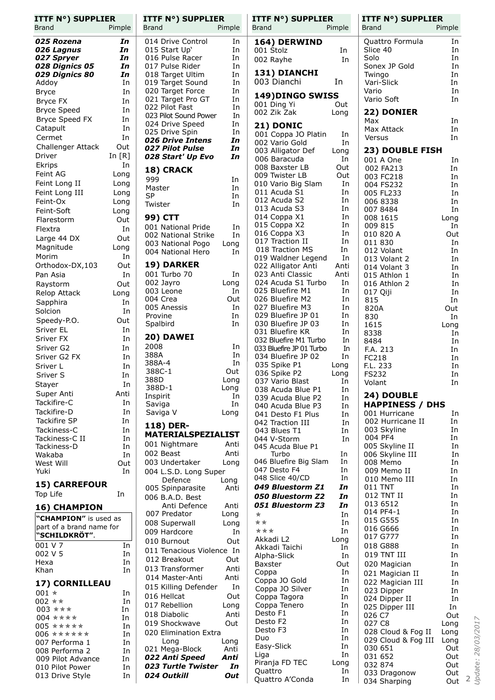| <b>ITTF N°) SUPPLIER</b><br><b>Brand</b> | Pimple     | <b>ITTF N°) SUPPLIER</b><br><b>Brand</b>  | Pimple     | <b>ITTF N°) SUPPLIER</b><br><b>Brand</b> | Pimple     | <b>ITTF N°) SUPPLIER</b><br><b>Brand</b> | Pimple              |
|------------------------------------------|------------|-------------------------------------------|------------|------------------------------------------|------------|------------------------------------------|---------------------|
| 025 Rozena                               | In         | 014 Drive Control                         | In         | 164) DERWIND                             |            | Quattro Formula                          | In                  |
| 026 Lagnus                               | In         | 015 Start Up'                             | In         | 001 Stolz                                | In         | Slice 40                                 | In                  |
| 027 Spryer                               | In         | 016 Pulse Racer                           | In         | 002 Rayhe                                | In         | Solo                                     | In                  |
| 028 Dignics 05                           | In         | 017 Pulse Rider                           | In         |                                          |            | Sonex JP Gold                            | In                  |
| 029 Dignics 80                           | In         | 018 Target Ultim                          | In         | 131) DIANCHI                             |            | Twingo                                   | In                  |
| Addoy                                    | In         | 019 Target Sound                          | In         | 003 Dianchi                              | In         | Vari-Slick                               | In                  |
| <b>Bryce</b>                             | In         | 020 Target Force<br>021 Target Pro GT     | In<br>In   | 149) DINGO SWISS                         |            | Vario<br>Vario Soft                      | In<br>In            |
| Bryce FX                                 | In         | 022 Pilot Fast                            | In         | 001 Ding Yi                              | Out        |                                          |                     |
| <b>Bryce Speed</b>                       | In         | 023 Pilot Sound Power                     | In         | 002 Zik Zak                              | Long       | 22) DONIER                               |                     |
| Bryce Speed FX<br>Catapult               | In<br>In   | 024 Drive Speed                           | In         | 21) DONIC                                |            | Max<br>Max Attack                        | In<br>In            |
| Cermet                                   | In         | 025 Drive Spin                            | In         | 001 Coppa JO Platin                      | In         | Versus                                   | In                  |
| Challenger Attack                        | Out        | 026 Drive Intens<br>027 Pilot Pulse       | In<br>In   | 002 Vario Gold                           | In         |                                          |                     |
| Driver                                   | In $[R]$   | 028 Start' Up Evo                         | In         | 003 Alligator Def                        | Long       | 23) DOUBLE FISH                          |                     |
| Ekrips                                   | In         |                                           |            | 006 Baracuda<br>008 Baxster LB           | In<br>Out  | 001 A One                                | In                  |
| Feint AG                                 | Long       | 18) CRACK                                 |            | 009 Twister LB                           | Out        | 002 FA213<br>003 FC218                   | In<br>In            |
| Feint Long II                            | Long       | 999                                       | In         | 010 Vario Big Slam                       | In         | 004 FS232                                | In                  |
| Feint Long III                           | Long       | Master<br><b>SP</b>                       | In<br>In   | 011 Acuda S1                             | In         | 005 FL233                                | In                  |
| Feint-Ox                                 | Long       | Twister                                   | In         | 012 Acuda S2                             | In         | 006 8338                                 | In                  |
| Feint-Soft                               | Long       |                                           |            | 013 Acuda S3                             | In         | 007 8484                                 | In                  |
| Flarestorm                               | Out        | 99) CTT                                   |            | 014 Coppa X1<br>015 Coppa X2             | In<br>In   | 008 1615<br>009 815                      | Long<br>In.         |
| Flextra                                  | In         | 001 National Pride<br>002 National Strike | In<br>In   | 016 Coppa X3                             | In         | 010 820 A                                | Out                 |
| Large 44 DX                              | Out        | 003 National Pogo                         | Long       | 017 Traction II                          | In         | 011 830                                  | In                  |
| Magnitude                                | Long       | 004 National Hero                         | In         | 018 Traction MS                          | In         | 012 Volant                               | In                  |
| Morim                                    | In         |                                           |            | 019 Waldner Legend                       | In         | 013 Volant 2                             | In                  |
| Orthodox-DX,103                          | Out        | 19) DARKER                                |            | 022 Alligator Anti                       | Anti       | 014 Volant 3                             | In                  |
| Pan Asia                                 | In         | 001 Turbo 70<br>002 Jayro                 | In<br>Long | 023 Anti Classic<br>024 Acuda S1 Turbo   | Anti<br>In | 015 Athlon 1                             | In                  |
| Raystorm                                 | Out        | 003 Leone                                 | In         | 025 Bluefire M1                          | In         | 016 Athlon 2<br>017 Qiji                 | In<br>In            |
| Relop Attack<br>Sapphira                 | Long<br>In | 004 Crea                                  | Out        | 026 Bluefire M2                          | In         | 815                                      | In                  |
| Solcion                                  | In         | 005 Anessis                               | In         | 027 Bluefire M3                          | In         | 820A                                     | Out                 |
| Speedy-P.O.                              | Out        | Provine                                   | In         | 029 Bluefire JP 01                       | In         | 830                                      | In                  |
| Sriver EL                                | In         | Spalbird                                  | In         | 030 Bluefire JP 03<br>031 Bluefire KR    | In<br>In   | 1615                                     | Long                |
| Sriver FX                                | In         | 20) DAWEI                                 |            | 032 Bluefire M1 Turbo                    | In         | 8338<br>8484                             | In<br>In            |
| Sriver G2                                | In         | 2008                                      | In         | 033 Bluefire JP 01 Turbo                 | In         | F.A. 213                                 | In                  |
| Sriver G2 FX                             | In         | 388A                                      | In         | 034 Bluefire JP 02                       | In         | FC218                                    | In                  |
| Sriver L                                 | In         | 388A-4<br>388C-1                          | In<br>Out  | 035 Spike P1                             | Long       | F.L. 233                                 | In                  |
| Sriver S                                 | In         | 388D                                      | Long       | 036 Spike P2<br>037 Vario Blast          | Long<br>In | <b>FS232</b>                             | In                  |
| Stayer                                   | In         | 388D-1                                    | Long       | 038 Acuda Blue P1                        | In         | Volant                                   | In                  |
| Super Anti                               | Anti       | Inspirit                                  | In         | 039 Acuda Blue P2                        | In         | 24) DOUBLE                               |                     |
| Tackifire-C<br>Tackifire-D               | In         | Saviga                                    | In         | 040 Acuda Blue P3                        | In         | <b>HAPPINESS / DHS</b>                   |                     |
| Tackifire SP                             | In<br>In   | Saviga V                                  | Long       | 041 Desto F1 Plus                        | In         | 001 Hurricane<br>002 Hurricane II        | In<br>In            |
| Tackiness-C                              | In         | 118) DER-                                 |            | 042 Traction III<br>043 Blues T1         | In<br>In   | 003 Skyline                              | In                  |
| Tackiness-C II                           | In         | <b>MATERIALSPEZIALIST</b>                 |            | 044 V-Storm                              | In         | 004 PF4                                  | In                  |
| Tackiness-D                              | In         | 001 Nightmare                             | Anti       | 045 Acuda Blue P1                        |            | 005 Skyline II                           | In                  |
| Wakaba                                   | In         | 002 Beast                                 | Anti       | Turbo                                    | In         | 006 Skyline III                          | In                  |
| West Will                                | Out        | 003 Undertaker                            | Long       | 046 Bluefire Big Slam<br>047 Desto F4    | In<br>In   | 008 Memo<br>009 Memo II                  | In<br>In            |
| Yuki                                     | In         | 004 L.S.D. Long Super<br>Defence          | Long       | 048 Slice 40/CD                          | In         | 010 Memo III                             | In                  |
| <b>15) CARREFOUR</b>                     |            | 005 Spinparasite                          | Anti       | 049 Bluestorm Z1                         | In         | 011 TNT                                  | In                  |
| Top Life                                 | In         | 006 B.A.D. Best                           |            | 050 Bluestorm Z2                         | In         | 012 TNT II                               | In                  |
| 16) CHAMPION                             |            | Anti Defence                              | Anti       | 051 Bluestorm Z3                         | In         | 013 6512                                 | In                  |
| "CHAMPION" is used as                    |            | 007 Predator                              | Long       | $\star$                                  | In         | 014 PF4-1<br>015 G555                    | In<br>In            |
| part of a brand name for                 |            | 008 Superwall                             | Long       | * *<br>***                               | In         | 016 G666                                 | In                  |
| <b>"SCHILDKRÖT".</b>                     |            | 009 Hardcore                              | In         | Akkadi L2                                | In<br>Long | 017 G777                                 | In                  |
| 001 V 7                                  | In         | 010 Burnout<br>011 Tenacious Violence In  | Out        | Akkadi Taichi                            | In         | 018 G888                                 | In                  |
| 002 V 5                                  | In         | 012 Breakout                              | Out        | Alpha-Slick                              | In         | 019 TNT III                              | In                  |
| Hexa                                     | In         | 013 Transformer                           | Anti       | Baxster                                  | Out        | 020 Magician                             | In                  |
| Khan                                     | In         | 014 Master-Anti                           | Anti       | Coppa                                    | In         | 021 Magician II                          | In                  |
| 17) CORNILLEAU                           |            | 015 Killing Defender                      | In         | Coppa JO Gold<br>Coppa JO Silver         | In<br>In   | 022 Magician III                         | In                  |
| 001 $*$                                  | In         | 016 Hellcat                               | Out        | Coppa Tagora                             | In         | 023 Dipper<br>024 Dipper II              | In<br>In            |
| 002 **                                   | In         | 017 Rebellion                             | Long       | Coppa Tenero                             | In         | 025 Dipper III                           | In                  |
| 003 ***<br>004 ****                      | In<br>In   | 018 Diabolic                              | Anti       | Desto F1                                 | In         | 026 C7                                   | Out                 |
| 005 *****                                | In         | 019 Shockwave                             | Out        | Desto F2                                 | In         | 027 C8                                   | Long                |
| 006 ******                               | In         | 020 Elimination Extra                     |            | Desto F3                                 | In         | 028 Cloud & Fog II                       | 28/03/2017<br>Long  |
| 007 Performa 1                           | In         | Long                                      | Long       | Duo<br>Easy-Slick                        | In<br>In   | 029 Cloud & Fog III                      | Long                |
| 008 Performa 2                           | In         | 021 Mega-Block                            | Anti       | Liga                                     | In         | 030 651<br>031 652                       | Out<br>Out          |
| 009 Pilot Advance<br>010 Pilot Power     | In<br>In   | 022 Anti Speed<br>023 Turtle Twister      | Anti<br>In | Piranja FD TEC                           | Long       | 032 874                                  | Out                 |
| 013 Drive Style                          | In         | 024 Outkill                               | Out        | Quattro                                  | In         | 033 Dragonow                             | N<br>Update:<br>Out |
|                                          |            |                                           |            | Quattro A'Conda                          | In         | 034 Sharping                             | Out                 |
|                                          |            |                                           |            |                                          |            |                                          |                     |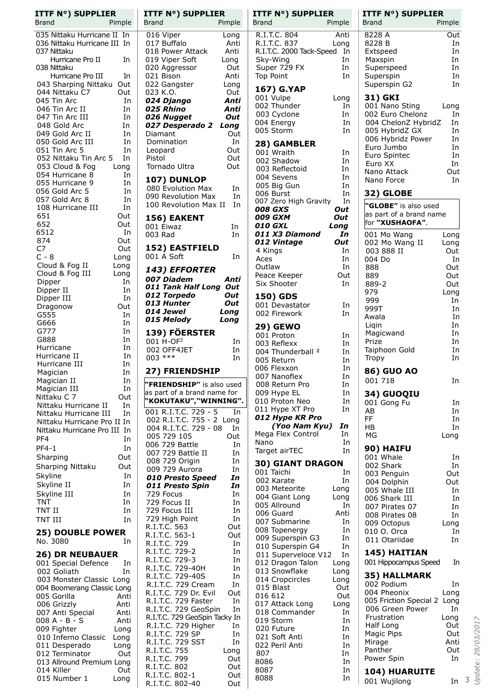| 035 Nittaku Hurricane II<br>In<br>036 Nittaku Hurricane III<br>In<br>037 Nittaku<br>Hurricane Pro II<br>In<br>038 Nittaku<br>Hurricane Pro III<br>In<br>043 Sharping Nittaku<br>Out<br>044 Nittaku C7<br>Out<br>045 Tin Arc<br>In<br>046 Tin Arc II<br>In<br>047 Tin Arc III<br>In<br>048 Gold Arc<br>In<br>049 Gold Arc II<br>In<br>050 Gold Arc III<br>In<br>051 Tin Arc 5<br>In<br>052 Nittaku Tin Arc 5<br>In<br>053 Cloud & Fog<br>Long<br>054 Hurricane 8<br>In<br>055 Hurricane 9<br>In<br>056 Gold Arc 5<br>In<br>057 Gold Arc 8<br>In<br>108 Hurricane III<br>In<br>651<br>Out<br>652<br>Out<br>6512<br>In<br>874<br>Out<br>C7<br>Out<br>C - 8<br>Long<br>Cloud & Fog II<br>Long<br>Cloud & Fog III<br>Long<br>Dipper<br>In<br>In<br>Dipper II<br>Dipper III<br>In<br>Out<br>Dragonow<br>G555<br>In<br>G666<br>In<br>G777<br>In<br>G888<br>In<br>Hurricane<br>In<br>Hurricane II<br>In<br>Hurricane III<br>In<br>Magician<br>In<br>In<br>Magician II<br>Magician III<br>In<br>Nittaku C 7<br>Out<br>Nittaku Hurricane II<br>In<br>Nittaku Hurricane III<br>In<br>Nittaku Hurricane Pro II<br>In<br>Nittaku Hurricane Pro III<br>In<br>PF4<br>In<br><b>PF4-1</b><br>In<br>Sharping<br>Out<br>Sharping Nittaku<br>Out<br>Skyline<br>In<br>Skyline II<br>In<br>Skyline III<br>In<br><b>TNT</b><br>In<br>TNT II<br>In<br>TNT III<br>In<br><b>25) DOUBLE POWER</b><br>No. 3080<br>In<br><b>26) DR NEUBAUER</b><br>001 Special Defence<br>In<br>002 Goliath<br>In<br>003 Monster Classic Long<br>004 Boomerang Classic Long<br>005 Gorilla<br>Anti<br>006 Grizzly<br>Anti<br>007 Anti Special<br>Anti<br>008 A - B - S<br>Anti<br>009 Fighter<br>Long<br>010 Inferno Classic<br>Long<br>011 Desperado<br>Long<br>012 Terminator<br>Out<br>013 Allround Premium<br>Long<br>014 Killer<br>Out | <b>ITTF N°) SUPPLIER</b><br><b>Brand</b><br>Pimple |
|------------------------------------------------------------------------------------------------------------------------------------------------------------------------------------------------------------------------------------------------------------------------------------------------------------------------------------------------------------------------------------------------------------------------------------------------------------------------------------------------------------------------------------------------------------------------------------------------------------------------------------------------------------------------------------------------------------------------------------------------------------------------------------------------------------------------------------------------------------------------------------------------------------------------------------------------------------------------------------------------------------------------------------------------------------------------------------------------------------------------------------------------------------------------------------------------------------------------------------------------------------------------------------------------------------------------------------------------------------------------------------------------------------------------------------------------------------------------------------------------------------------------------------------------------------------------------------------------------------------------------------------------------------------------------------------------------------------------------------------------------------------------------------------------|----------------------------------------------------|
|                                                                                                                                                                                                                                                                                                                                                                                                                                                                                                                                                                                                                                                                                                                                                                                                                                                                                                                                                                                                                                                                                                                                                                                                                                                                                                                                                                                                                                                                                                                                                                                                                                                                                                                                                                                                |                                                    |
|                                                                                                                                                                                                                                                                                                                                                                                                                                                                                                                                                                                                                                                                                                                                                                                                                                                                                                                                                                                                                                                                                                                                                                                                                                                                                                                                                                                                                                                                                                                                                                                                                                                                                                                                                                                                |                                                    |
|                                                                                                                                                                                                                                                                                                                                                                                                                                                                                                                                                                                                                                                                                                                                                                                                                                                                                                                                                                                                                                                                                                                                                                                                                                                                                                                                                                                                                                                                                                                                                                                                                                                                                                                                                                                                |                                                    |
|                                                                                                                                                                                                                                                                                                                                                                                                                                                                                                                                                                                                                                                                                                                                                                                                                                                                                                                                                                                                                                                                                                                                                                                                                                                                                                                                                                                                                                                                                                                                                                                                                                                                                                                                                                                                |                                                    |
|                                                                                                                                                                                                                                                                                                                                                                                                                                                                                                                                                                                                                                                                                                                                                                                                                                                                                                                                                                                                                                                                                                                                                                                                                                                                                                                                                                                                                                                                                                                                                                                                                                                                                                                                                                                                |                                                    |
|                                                                                                                                                                                                                                                                                                                                                                                                                                                                                                                                                                                                                                                                                                                                                                                                                                                                                                                                                                                                                                                                                                                                                                                                                                                                                                                                                                                                                                                                                                                                                                                                                                                                                                                                                                                                |                                                    |
|                                                                                                                                                                                                                                                                                                                                                                                                                                                                                                                                                                                                                                                                                                                                                                                                                                                                                                                                                                                                                                                                                                                                                                                                                                                                                                                                                                                                                                                                                                                                                                                                                                                                                                                                                                                                |                                                    |
|                                                                                                                                                                                                                                                                                                                                                                                                                                                                                                                                                                                                                                                                                                                                                                                                                                                                                                                                                                                                                                                                                                                                                                                                                                                                                                                                                                                                                                                                                                                                                                                                                                                                                                                                                                                                |                                                    |
|                                                                                                                                                                                                                                                                                                                                                                                                                                                                                                                                                                                                                                                                                                                                                                                                                                                                                                                                                                                                                                                                                                                                                                                                                                                                                                                                                                                                                                                                                                                                                                                                                                                                                                                                                                                                |                                                    |
|                                                                                                                                                                                                                                                                                                                                                                                                                                                                                                                                                                                                                                                                                                                                                                                                                                                                                                                                                                                                                                                                                                                                                                                                                                                                                                                                                                                                                                                                                                                                                                                                                                                                                                                                                                                                |                                                    |
|                                                                                                                                                                                                                                                                                                                                                                                                                                                                                                                                                                                                                                                                                                                                                                                                                                                                                                                                                                                                                                                                                                                                                                                                                                                                                                                                                                                                                                                                                                                                                                                                                                                                                                                                                                                                |                                                    |
|                                                                                                                                                                                                                                                                                                                                                                                                                                                                                                                                                                                                                                                                                                                                                                                                                                                                                                                                                                                                                                                                                                                                                                                                                                                                                                                                                                                                                                                                                                                                                                                                                                                                                                                                                                                                |                                                    |
|                                                                                                                                                                                                                                                                                                                                                                                                                                                                                                                                                                                                                                                                                                                                                                                                                                                                                                                                                                                                                                                                                                                                                                                                                                                                                                                                                                                                                                                                                                                                                                                                                                                                                                                                                                                                |                                                    |
|                                                                                                                                                                                                                                                                                                                                                                                                                                                                                                                                                                                                                                                                                                                                                                                                                                                                                                                                                                                                                                                                                                                                                                                                                                                                                                                                                                                                                                                                                                                                                                                                                                                                                                                                                                                                |                                                    |
|                                                                                                                                                                                                                                                                                                                                                                                                                                                                                                                                                                                                                                                                                                                                                                                                                                                                                                                                                                                                                                                                                                                                                                                                                                                                                                                                                                                                                                                                                                                                                                                                                                                                                                                                                                                                |                                                    |
|                                                                                                                                                                                                                                                                                                                                                                                                                                                                                                                                                                                                                                                                                                                                                                                                                                                                                                                                                                                                                                                                                                                                                                                                                                                                                                                                                                                                                                                                                                                                                                                                                                                                                                                                                                                                |                                                    |
|                                                                                                                                                                                                                                                                                                                                                                                                                                                                                                                                                                                                                                                                                                                                                                                                                                                                                                                                                                                                                                                                                                                                                                                                                                                                                                                                                                                                                                                                                                                                                                                                                                                                                                                                                                                                |                                                    |
|                                                                                                                                                                                                                                                                                                                                                                                                                                                                                                                                                                                                                                                                                                                                                                                                                                                                                                                                                                                                                                                                                                                                                                                                                                                                                                                                                                                                                                                                                                                                                                                                                                                                                                                                                                                                |                                                    |
|                                                                                                                                                                                                                                                                                                                                                                                                                                                                                                                                                                                                                                                                                                                                                                                                                                                                                                                                                                                                                                                                                                                                                                                                                                                                                                                                                                                                                                                                                                                                                                                                                                                                                                                                                                                                |                                                    |
|                                                                                                                                                                                                                                                                                                                                                                                                                                                                                                                                                                                                                                                                                                                                                                                                                                                                                                                                                                                                                                                                                                                                                                                                                                                                                                                                                                                                                                                                                                                                                                                                                                                                                                                                                                                                |                                                    |
|                                                                                                                                                                                                                                                                                                                                                                                                                                                                                                                                                                                                                                                                                                                                                                                                                                                                                                                                                                                                                                                                                                                                                                                                                                                                                                                                                                                                                                                                                                                                                                                                                                                                                                                                                                                                |                                                    |
|                                                                                                                                                                                                                                                                                                                                                                                                                                                                                                                                                                                                                                                                                                                                                                                                                                                                                                                                                                                                                                                                                                                                                                                                                                                                                                                                                                                                                                                                                                                                                                                                                                                                                                                                                                                                |                                                    |
|                                                                                                                                                                                                                                                                                                                                                                                                                                                                                                                                                                                                                                                                                                                                                                                                                                                                                                                                                                                                                                                                                                                                                                                                                                                                                                                                                                                                                                                                                                                                                                                                                                                                                                                                                                                                |                                                    |
|                                                                                                                                                                                                                                                                                                                                                                                                                                                                                                                                                                                                                                                                                                                                                                                                                                                                                                                                                                                                                                                                                                                                                                                                                                                                                                                                                                                                                                                                                                                                                                                                                                                                                                                                                                                                |                                                    |
|                                                                                                                                                                                                                                                                                                                                                                                                                                                                                                                                                                                                                                                                                                                                                                                                                                                                                                                                                                                                                                                                                                                                                                                                                                                                                                                                                                                                                                                                                                                                                                                                                                                                                                                                                                                                |                                                    |
|                                                                                                                                                                                                                                                                                                                                                                                                                                                                                                                                                                                                                                                                                                                                                                                                                                                                                                                                                                                                                                                                                                                                                                                                                                                                                                                                                                                                                                                                                                                                                                                                                                                                                                                                                                                                |                                                    |
|                                                                                                                                                                                                                                                                                                                                                                                                                                                                                                                                                                                                                                                                                                                                                                                                                                                                                                                                                                                                                                                                                                                                                                                                                                                                                                                                                                                                                                                                                                                                                                                                                                                                                                                                                                                                |                                                    |
|                                                                                                                                                                                                                                                                                                                                                                                                                                                                                                                                                                                                                                                                                                                                                                                                                                                                                                                                                                                                                                                                                                                                                                                                                                                                                                                                                                                                                                                                                                                                                                                                                                                                                                                                                                                                |                                                    |
|                                                                                                                                                                                                                                                                                                                                                                                                                                                                                                                                                                                                                                                                                                                                                                                                                                                                                                                                                                                                                                                                                                                                                                                                                                                                                                                                                                                                                                                                                                                                                                                                                                                                                                                                                                                                |                                                    |
|                                                                                                                                                                                                                                                                                                                                                                                                                                                                                                                                                                                                                                                                                                                                                                                                                                                                                                                                                                                                                                                                                                                                                                                                                                                                                                                                                                                                                                                                                                                                                                                                                                                                                                                                                                                                |                                                    |
|                                                                                                                                                                                                                                                                                                                                                                                                                                                                                                                                                                                                                                                                                                                                                                                                                                                                                                                                                                                                                                                                                                                                                                                                                                                                                                                                                                                                                                                                                                                                                                                                                                                                                                                                                                                                |                                                    |
|                                                                                                                                                                                                                                                                                                                                                                                                                                                                                                                                                                                                                                                                                                                                                                                                                                                                                                                                                                                                                                                                                                                                                                                                                                                                                                                                                                                                                                                                                                                                                                                                                                                                                                                                                                                                |                                                    |
|                                                                                                                                                                                                                                                                                                                                                                                                                                                                                                                                                                                                                                                                                                                                                                                                                                                                                                                                                                                                                                                                                                                                                                                                                                                                                                                                                                                                                                                                                                                                                                                                                                                                                                                                                                                                |                                                    |
|                                                                                                                                                                                                                                                                                                                                                                                                                                                                                                                                                                                                                                                                                                                                                                                                                                                                                                                                                                                                                                                                                                                                                                                                                                                                                                                                                                                                                                                                                                                                                                                                                                                                                                                                                                                                |                                                    |
|                                                                                                                                                                                                                                                                                                                                                                                                                                                                                                                                                                                                                                                                                                                                                                                                                                                                                                                                                                                                                                                                                                                                                                                                                                                                                                                                                                                                                                                                                                                                                                                                                                                                                                                                                                                                |                                                    |
|                                                                                                                                                                                                                                                                                                                                                                                                                                                                                                                                                                                                                                                                                                                                                                                                                                                                                                                                                                                                                                                                                                                                                                                                                                                                                                                                                                                                                                                                                                                                                                                                                                                                                                                                                                                                |                                                    |
|                                                                                                                                                                                                                                                                                                                                                                                                                                                                                                                                                                                                                                                                                                                                                                                                                                                                                                                                                                                                                                                                                                                                                                                                                                                                                                                                                                                                                                                                                                                                                                                                                                                                                                                                                                                                |                                                    |
|                                                                                                                                                                                                                                                                                                                                                                                                                                                                                                                                                                                                                                                                                                                                                                                                                                                                                                                                                                                                                                                                                                                                                                                                                                                                                                                                                                                                                                                                                                                                                                                                                                                                                                                                                                                                |                                                    |
|                                                                                                                                                                                                                                                                                                                                                                                                                                                                                                                                                                                                                                                                                                                                                                                                                                                                                                                                                                                                                                                                                                                                                                                                                                                                                                                                                                                                                                                                                                                                                                                                                                                                                                                                                                                                |                                                    |
|                                                                                                                                                                                                                                                                                                                                                                                                                                                                                                                                                                                                                                                                                                                                                                                                                                                                                                                                                                                                                                                                                                                                                                                                                                                                                                                                                                                                                                                                                                                                                                                                                                                                                                                                                                                                |                                                    |
|                                                                                                                                                                                                                                                                                                                                                                                                                                                                                                                                                                                                                                                                                                                                                                                                                                                                                                                                                                                                                                                                                                                                                                                                                                                                                                                                                                                                                                                                                                                                                                                                                                                                                                                                                                                                |                                                    |
|                                                                                                                                                                                                                                                                                                                                                                                                                                                                                                                                                                                                                                                                                                                                                                                                                                                                                                                                                                                                                                                                                                                                                                                                                                                                                                                                                                                                                                                                                                                                                                                                                                                                                                                                                                                                |                                                    |
|                                                                                                                                                                                                                                                                                                                                                                                                                                                                                                                                                                                                                                                                                                                                                                                                                                                                                                                                                                                                                                                                                                                                                                                                                                                                                                                                                                                                                                                                                                                                                                                                                                                                                                                                                                                                |                                                    |
|                                                                                                                                                                                                                                                                                                                                                                                                                                                                                                                                                                                                                                                                                                                                                                                                                                                                                                                                                                                                                                                                                                                                                                                                                                                                                                                                                                                                                                                                                                                                                                                                                                                                                                                                                                                                |                                                    |
|                                                                                                                                                                                                                                                                                                                                                                                                                                                                                                                                                                                                                                                                                                                                                                                                                                                                                                                                                                                                                                                                                                                                                                                                                                                                                                                                                                                                                                                                                                                                                                                                                                                                                                                                                                                                |                                                    |
|                                                                                                                                                                                                                                                                                                                                                                                                                                                                                                                                                                                                                                                                                                                                                                                                                                                                                                                                                                                                                                                                                                                                                                                                                                                                                                                                                                                                                                                                                                                                                                                                                                                                                                                                                                                                |                                                    |
|                                                                                                                                                                                                                                                                                                                                                                                                                                                                                                                                                                                                                                                                                                                                                                                                                                                                                                                                                                                                                                                                                                                                                                                                                                                                                                                                                                                                                                                                                                                                                                                                                                                                                                                                                                                                |                                                    |
|                                                                                                                                                                                                                                                                                                                                                                                                                                                                                                                                                                                                                                                                                                                                                                                                                                                                                                                                                                                                                                                                                                                                                                                                                                                                                                                                                                                                                                                                                                                                                                                                                                                                                                                                                                                                |                                                    |
|                                                                                                                                                                                                                                                                                                                                                                                                                                                                                                                                                                                                                                                                                                                                                                                                                                                                                                                                                                                                                                                                                                                                                                                                                                                                                                                                                                                                                                                                                                                                                                                                                                                                                                                                                                                                |                                                    |
|                                                                                                                                                                                                                                                                                                                                                                                                                                                                                                                                                                                                                                                                                                                                                                                                                                                                                                                                                                                                                                                                                                                                                                                                                                                                                                                                                                                                                                                                                                                                                                                                                                                                                                                                                                                                |                                                    |
|                                                                                                                                                                                                                                                                                                                                                                                                                                                                                                                                                                                                                                                                                                                                                                                                                                                                                                                                                                                                                                                                                                                                                                                                                                                                                                                                                                                                                                                                                                                                                                                                                                                                                                                                                                                                |                                                    |
|                                                                                                                                                                                                                                                                                                                                                                                                                                                                                                                                                                                                                                                                                                                                                                                                                                                                                                                                                                                                                                                                                                                                                                                                                                                                                                                                                                                                                                                                                                                                                                                                                                                                                                                                                                                                |                                                    |
|                                                                                                                                                                                                                                                                                                                                                                                                                                                                                                                                                                                                                                                                                                                                                                                                                                                                                                                                                                                                                                                                                                                                                                                                                                                                                                                                                                                                                                                                                                                                                                                                                                                                                                                                                                                                | 015 Number 1<br>Long                               |

|                      |                                      | <b>ITTF N°) SUPPLIER</b>                                   |              |
|----------------------|--------------------------------------|------------------------------------------------------------|--------------|
| <b>Brand</b>         |                                      |                                                            | Pimple       |
| 016 Viper            |                                      |                                                            | Long         |
|                      | 017 Buffalo<br>018 Power Attack      |                                                            | Anti         |
|                      | 019 Viper Soft                       |                                                            | Anti<br>Long |
|                      | 020 Aggressor                        |                                                            | Out          |
| 021 Bison            |                                      |                                                            | Anti         |
|                      | 022 Gangster                         |                                                            | Long         |
| 023 K.O.             | 024 Django                           |                                                            | Out<br>Anti  |
|                      | 025 Rhino                            |                                                            | Anti         |
|                      | 026 Nugget                           |                                                            | Out          |
|                      |                                      | 027 Desperado 2                                            | Long         |
| Diamant              | Domination                           |                                                            | Out<br>In    |
| Leopard              |                                      |                                                            | Out          |
| Pistol               |                                      |                                                            | Out          |
|                      | Tornado Ultra                        |                                                            | Out          |
|                      | 107) DUNLOP                          |                                                            |              |
|                      | 080 Evolution Max                    |                                                            | In           |
|                      |                                      | 090 Revolution Max<br>100 Revolution Max II                | In           |
|                      |                                      |                                                            | In           |
|                      | 156) EAKENT                          |                                                            |              |
| 001 Eiwaz<br>003 Rad |                                      |                                                            | In<br>In     |
|                      |                                      |                                                            |              |
|                      |                                      | <b>152) EASTFIELD</b>                                      |              |
|                      | 001 A Soft                           |                                                            | In           |
|                      |                                      | 143) EFFORTER                                              |              |
|                      |                                      | 007 Diadem<br>011 Tank Half Long                           | Anti         |
|                      | 012 Torpedo                          |                                                            | Out<br>Out   |
|                      | 013 Hunter                           |                                                            | Out          |
|                      | 014 Jewel                            |                                                            | Long         |
|                      | 015 Melody                           |                                                            | Long         |
|                      |                                      | 139) FÖERSTER                                              |              |
|                      | 001 H-OF <sup>2</sup>                |                                                            | In           |
|                      |                                      |                                                            |              |
|                      | 002 OFF4JET                          |                                                            | In           |
| $003$ ***            |                                      |                                                            | In           |
|                      |                                      | <b>27) FRIENDSHIP</b>                                      |              |
| I                    |                                      | "FRIENDSHIP" is also used                                  |              |
|                      |                                      | as part of a brand name for                                |              |
|                      |                                      | "KOKUTAKU","WINNING".                                      |              |
|                      |                                      | 001 R.I.T.C. 729 - 5                                       | In           |
|                      |                                      | 002 R.I.T.C. 755 - 2 Long                                  | In           |
|                      | 005 729 105                          | 004 R.I.T.C. 729 - 08                                      | Out          |
|                      | 006 729 Battle                       |                                                            | In           |
|                      |                                      |                                                            | In           |
|                      | 007 729 Battle II<br>008 729 Origin  |                                                            | In<br>In     |
|                      | 009 729 Aurora                       | 010 Presto Speed                                           | In           |
|                      | 011 Presto Spin                      |                                                            | In           |
|                      | 729 Focus                            |                                                            | In           |
|                      | 729 Focus II<br>729 Focus III        |                                                            | In<br>In     |
|                      | 729 High Point                       |                                                            | In           |
|                      | R.I.T.C. 563                         |                                                            | Out          |
|                      | R.I.T.C. 563-1                       |                                                            | Out          |
| R.I.T.C.             | R.I.T.C. 729<br>729-2                |                                                            | In<br>In     |
|                      | R.I.T.C. 729-3                       |                                                            | In           |
|                      |                                      |                                                            | In           |
|                      | R.I.T.C. 729-40H<br>R.I.T.C. 729-40S |                                                            | In<br>In     |
|                      |                                      | R.I.T.C. 729 Cream                                         | Out          |
|                      |                                      | R.I.T.C. 729 Dr. Evil<br>R.I.T.C. 729 Faster<br>729 Faster | In           |
|                      |                                      | R.I.T.C. 729 GeoSpin                                       | In           |
|                      |                                      | R.I.T.C. 729 GeoSpin Tacky In                              | In           |
|                      | R.I.T.C. 729 SP                      | R.I.T.C. 729 Higher                                        | In           |
|                      |                                      |                                                            | In           |
|                      | R.I.T.C. 729 SST<br>R.I.T.C. 755     |                                                            | Long         |
|                      | R.I.T.C. 799                         |                                                            | Out          |
|                      | R.I.T.C. 802<br>R.I.T.C. 802-1       |                                                            | Out<br>Out   |

| ITTF N°) SUPPLIER<br>Brand<br>Pimple          | <b>ITTF N°) SUPPLI</b><br><b>Brand</b> |
|-----------------------------------------------|----------------------------------------|
| R.I.T.C. 804<br>Anti                          | 8228 A                                 |
| R.I.T.C. 837<br>Long                          | 8228 B                                 |
| R.I.T.C. 2000 Tack-Speed<br>- In              | Extspeed                               |
| Sky-Wing<br>In                                | Maxspin                                |
| Super 729 FX<br>In                            | Superspeed                             |
| Top Point<br>In                               | Superspin                              |
|                                               | Superspin G2                           |
| 167) G.YAP<br>001 Vulpe<br>Long               | 31) GKI                                |
| 002 Thunder<br>In                             | 001 Nano Sting                         |
| 003 Cyclone<br>In                             | 002 Euro Chelonz                       |
| 004 Energy<br>In                              | 004 ChelonZ Hybri                      |
| 005 Storm<br>In                               | 005 HybridZ GX                         |
|                                               | 006 Hybridz Power                      |
| 28) GAMBLER                                   | Euro Jumbo                             |
| 001 Wraith<br>In                              | Euro Spintec                           |
| 002 Shadow<br>In                              | Euro XX                                |
| 003 Reflectoid<br>In                          | Nano Attack                            |
| 004 Sevens<br>In                              | Nano Force                             |
| 005 Big Gun<br>In                             |                                        |
| 006 Burst<br>In                               | 32) GLOBE                              |
| 007 Zero High Gravity<br>In<br>008 GXS<br>Out | "GLOBE" is also use                    |
| 009 GXM<br>Out                                | as part of a brand na                  |
| 010 GXL<br>Long                               | for "XUSHAOFA".                        |
| 011 X3 Diamond<br>In                          | 001 Mo Wang                            |
| 012 Vintage<br>Out                            | 002 Mo Wang II                         |
| 4 Kings<br>In                                 | 003 888 II                             |
| In<br>Aces                                    | 004 Do                                 |
| In<br>Outlaw                                  | 888                                    |
| Out<br>Peace Keeper                           | 889                                    |
| Six Shooter<br>In                             | 889-2                                  |
|                                               | 979                                    |
| 150) GDS                                      | 999                                    |
| 001 Devastator<br>In                          | 999T                                   |
| 002 Firework<br>In                            | Awala                                  |
|                                               | Liqin                                  |
| 29) GEWO<br>001 Proton<br>In                  | Magicwand                              |
| 003 Reflexx<br>In                             | Prize                                  |
| 004 Thunderball <sup>2</sup><br>In            | Taiphoon Gold                          |
| 005 Return<br>In                              | <b>Tropy</b>                           |
| 006 Flexxon<br>In                             |                                        |
| 007 Nanoflex<br>In                            | 86) GUO AO                             |
| 008 Return Pro<br>In                          | 001 718                                |
| 009 Hype EL<br>In                             | 34) GUOQIU                             |
| 010 Proton Neo<br>In                          | 001 Gong Fu                            |
| 011 Hype XT Pro<br>In                         | AB                                     |
| 012 Hype KR Pro                               | FF                                     |
| (Yoo Nam Kyu)<br>In                           | HB                                     |
| Mega Flex Control<br>In                       | ΜG                                     |
| In<br>Nano                                    |                                        |
| In<br>Target airTEC                           | 90) HAIFU                              |
| 30) GIANT DRAGON                              | 001 Whale                              |
| 001 Taichi<br>In                              | 002 Shark                              |
| 002 Karate<br>In                              | 003 Penguin                            |
| 003 Meteorite<br>Long                         | 004 Dolphin                            |
| 004 Giant Long<br>Long                        | 005 Whale III<br>006 Shark III         |
| 005 Allround<br>In                            | 007 Pirates 07                         |
| 006 Guard<br>Anti                             | 008 Pirates 08                         |
| 007 Submarine<br>In                           | 009 Octopus                            |
| 008 Topenergy<br>In                           | 010 O. Orca                            |
| 009 Superspin G3<br>In                        | 011 Otariidae                          |
| 010 Superspin G4<br>In                        |                                        |
| 011 Superveloce V12<br>In                     | 145) HAITIAN                           |
| 012 Dragon Talon<br>Long                      | 001 Hippocampus Spe                    |
| 013 Snowflake<br>Long                         |                                        |
| 014 Cropcircles<br>Long                       | 35) HALLMARK                           |
| 015 Blast<br>Out                              | 002 Podium                             |
| 016 612<br>Out                                | 004 Pheonix                            |
| 017 Attack Long<br>Long                       | 005 Friction Special                   |
| 018 Commander<br>In                           | 006 Green Power                        |
| 019 Storm<br>In                               | Frustration                            |
| 020 Future<br>In                              | Half Long                              |
| 021 Soft Anti<br>In                           | <b>Magic Pips</b>                      |
| 022 Peril Anti<br>In                          | Mirage                                 |
| 807<br>In                                     | Panther                                |
| 8086<br>In                                    | Power Spin                             |
| 8087<br>In                                    | <b>104) HUARUITE</b>                   |
| 8088<br>In                                    | 001 Wujilong                           |
|                                               |                                        |

| <b>ITTF N°) SUPPLIER</b><br><b>Brand</b>                                                                                                                               | Pimple                                                      |   |                  |
|------------------------------------------------------------------------------------------------------------------------------------------------------------------------|-------------------------------------------------------------|---|------------------|
| 8228 A<br>8228 B<br>Extspeed<br>Maxspin<br>Superspeed                                                                                                                  | Out<br>In<br>In<br>In<br>In                                 |   |                  |
| Superspin<br>Superspin G2<br>31) GKI                                                                                                                                   | In<br>In                                                    |   |                  |
| 001 Nano Sting<br>002 Euro Chelonz<br>004 ChelonZ HybridZ<br>005 HybridZ GX<br>006 Hybridz Power<br>Euro Jumbo<br>Euro Spintec<br>Euro XX<br>Nano Attack<br>Nano Force | Long<br>In<br>In<br>In<br>In<br>In<br>In<br>In<br>Out<br>In |   |                  |
| 32) GLOBE<br>"GLOBE" is also used                                                                                                                                      |                                                             |   |                  |
| as part of a brand name<br>for "XUSHAOFA".                                                                                                                             |                                                             |   |                  |
| 001 Mo Wang<br>002 Mo Wang II<br>003 888 II<br>004 Do                                                                                                                  | Long<br>Long<br>Out<br>In                                   |   |                  |
| 888<br>889<br>889-2<br>979                                                                                                                                             | Out<br>Out<br>Out<br>Long                                   |   |                  |
| 999<br>999T<br>Awala<br>Ligin                                                                                                                                          | In<br>In<br>In<br>In                                        |   |                  |
| Magicwand<br>Prize<br>Taiphoon Gold<br><b>Iropy</b>                                                                                                                    | In<br>In<br>In<br>In                                        |   |                  |
| <b>86) GUO AO</b><br>001 718                                                                                                                                           | In                                                          |   |                  |
| 34) GUOQIU<br>001 Gong Fu<br>AB<br>FF<br>НB<br>ΜG                                                                                                                      | In<br>In<br>In<br>In<br>Long                                |   |                  |
| 90) HAIFU<br>001 Whale<br>002 Shark<br>003 Penguin<br>004 Dolphin                                                                                                      | In<br>In<br>Out<br>Out                                      |   |                  |
| 005 Whale III<br>006 Shark III<br>007 Pirates 07<br>008 Pirates 08<br>009 Octopus<br>010 O. Orca<br>011 Otariidae                                                      | In<br>In<br>In<br>In<br>Long<br>In<br>In                    |   |                  |
| 145) HAITIAN<br>001 Hippocampus Speed                                                                                                                                  | In                                                          |   |                  |
| 35) HALLMARK<br>002 Podium<br>004 Pheonix<br>005 Friction Special 2<br>006 Green Power<br>Frustration<br>Half Long<br>Magic Pips<br>Mirage                             | In<br>Long<br>Long<br>In<br>Long<br>Out<br>Out<br>Anti      |   |                  |
| Panther<br>Power Spin<br><b>104) HUARUITE</b>                                                                                                                          | Out<br>In                                                   |   | Jpdate: 28/03/20 |
| 001 Wujilong                                                                                                                                                           | In                                                          | 3 |                  |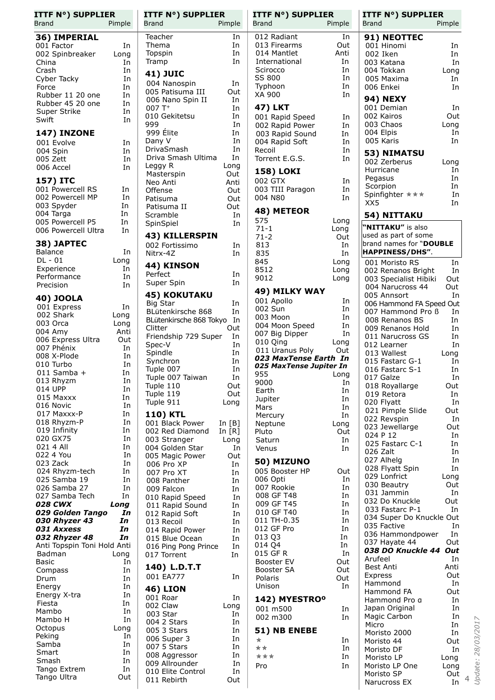| <b>ITTF N°) SUPPLIER</b><br><b>Brand</b> | Pimple     | <b>ITTF N°) SUPPLIER</b><br><b>Brand</b> | Pimple    | <b>ITTF N°) SUPPLIER</b><br>Brand | Pimple   | <b>ITTF N°) SUPPLIER</b><br>Brand    | Pimple     |                          |
|------------------------------------------|------------|------------------------------------------|-----------|-----------------------------------|----------|--------------------------------------|------------|--------------------------|
|                                          |            | Teacher                                  |           | 012 Radiant                       | In       |                                      |            |                          |
| 36) IMPERIAL                             | In         | Thema                                    | In<br>In  | 013 Firearms                      | Out      | 91) NEOTTEC<br>001 Hinomi            |            |                          |
| 001 Factor                               |            | Topspin                                  | In        | 014 Mantlet                       | Anti     | 002 Iken                             | In         |                          |
| 002 Spinbreaker<br>China                 | Long       | Tramp                                    | In        | International                     | In       |                                      | In<br>In   |                          |
| Crash                                    | In         |                                          |           | Scirocco                          | In       | 003 Katana<br>004 Tokkan             |            |                          |
| Cyber Tacky                              | In<br>In   | <b>41) JUIC</b>                          |           | SS 800                            | In       | 005 Maxima                           | Long<br>In |                          |
|                                          |            | 004 Nanospin                             | In        | Typhoon                           | In       |                                      |            |                          |
| Force<br>Rubber 11 20 one                | In<br>In   | 005 Patisuma III                         | Out       | XA 900                            | In       | 006 Enkei                            | In         |                          |
| Rubber 45 20 one                         | In         | 006 Nano Spin II                         | In        |                                   |          | <b>94) NEXY</b>                      |            |                          |
|                                          |            | $007T+$                                  | In        | <b>47) LKT</b>                    |          | 001 Demian                           | In         |                          |
| Super Strike<br>Swift                    | In<br>In   | 010 Gekitetsu                            | In        | 001 Rapid Speed                   | In       | 002 Kairos                           | Out        |                          |
|                                          |            | 999                                      | In        | 002 Rapid Power                   | In       | 003 Chaos                            | Long       |                          |
| <b>147) INZONE</b>                       |            | 999 Élite                                | In        | 003 Rapid Sound                   | In       | 004 Elpis                            | In         |                          |
| 001 Evolve                               | In         | Dany V                                   | In        | 004 Rapid Soft                    | In       | 005 Karis                            | In         |                          |
| 004 Spin                                 | In         | DrivaSmash                               | In        | Recoil                            | In       | 53) NIMATSU                          |            |                          |
| 005 Zett                                 | In         | Driva Smash Ultima                       | In        | Torrent E.G.S.                    | In       | 002 Zerberus                         | Long       |                          |
| 006 Accel                                | In         | Leggy R                                  | Long      | <b>158) LOKI</b>                  |          | Hurricane                            | In         |                          |
| 157) ITC                                 |            | Masterspin                               | Out       | 002 GTX                           |          | Pegasus                              | In         |                          |
| 001 Powercell RS                         | In         | Neo Anti                                 | Anti      | 003 TIII Paragon                  | In<br>In | Scorpion                             | In         |                          |
| 002 Powercell MP                         | In         | Offense                                  | Out       | 004 N80                           | In       | Spinfighter $\star \star \star$      | In         |                          |
|                                          | In         | Patisuma                                 | Out       |                                   |          | XX5                                  | In         |                          |
| 003 Spyder<br>004 Targa                  | In         | Patisuma II                              | Out       | 48) METEOR                        |          |                                      |            |                          |
| 005 Powercell P5                         | In         | Scramble                                 | In<br>In  | 575                               | Long     | 54) NITTAKU                          |            |                          |
| 006 Powercell Ultra                      | In         | SpinSpiel                                |           | $71 - 1$                          | Long     | "NITTAKU" is also                    |            |                          |
|                                          |            | 43) KILLERSPIN                           |           | $71-2$                            | Out      | used as part of some                 |            |                          |
| 38) JAPTEC                               |            | 002 Fortissimo                           | In        | 813                               | In       | brand names for "DOUBLE              |            |                          |
| <b>Balance</b>                           | In         | Nitrx-4Z                                 | In        | 835                               | In       | HAPPINESS/DHS".                      |            |                          |
| $DL - 01$                                | Long       | 44) KINSON                               |           | 845                               | Long     | 001 Moristo RS                       | In         |                          |
| Experience                               | In         | Perfect                                  | In        | 8512                              | Long     | 002 Renanos Bright                   | In         |                          |
| Performance                              | In         | Super Spin                               | In.       | 9012                              | Long     | 003 Specialist Hibiki                | Out        |                          |
| Precision                                | In         |                                          |           | 49) MILKY WAY                     |          | 004 Narucross 44                     | Out        |                          |
| 40) JOOLA                                |            | <b>45) KOKUTAKU</b>                      |           | 001 Apollo                        | In       | 005 Annsort                          | In         |                          |
| 001 Express                              | In         | <b>Big Star</b>                          | In        | 002 Sun                           | In       | 006 Hammond FA Speed Out             |            |                          |
| 002 Shark                                | Long       | BLütenkirsche 868                        | In        | 003 Moon                          | In       | 007 Hammond Pro B                    | In         |                          |
| 003 Orca                                 | Long       | BLütenkirsche 868 Tokyo In               |           | 004 Moon Speed                    | In       | 008 Renanos BS                       | In         |                          |
| 004 Amy                                  | Anti       | Clitter<br>Friendship 729 Super          | Out<br>In | 007 Big Dipper                    | In       | 009 Renanos Hold<br>011 Narucross GS | In<br>In   |                          |
| 006 Express Ultra                        | Out        | Spec-V                                   | In        | 010 Qing                          | Long     | 012 Learner                          | In         |                          |
| 007 Phénix                               | In         | Spindle                                  | In        | 011 Uranus Poly                   | Out      | 013 Wallest                          | Long       |                          |
| 008 X-Plode                              | In         | Synchron                                 | In        | 023 MaxTense Earth In             |          | 015 Fastarc G-1                      | In         |                          |
| 010 Turbo                                | In         | Tuple 007                                | In        | 025 MaxTense Jupiter In           |          | 016 Fastarc S-1                      | In         |                          |
| $011$ Samba +                            | In<br>In   | Tuple 007 Taiwan                         | In        | 955                               | Long     | 017 Galze                            | In         |                          |
| 013 Rhyzm<br>014 UPP                     | In         | Tuple 110                                | Out       | 9000                              | In       | 018 Royallarge                       | Out        |                          |
| 015 Maxxx                                | In         | Tuple 119                                | Out       | Earth                             | In       | 019 Retora                           | In         |                          |
| 016 Novic                                | In         | Tuple 911                                | Long      | Jupiter<br>Mars                   | In<br>In | 020 Flyatt                           | In         |                          |
| 017 Maxxx-P                              | In         | <b>110) KTL</b>                          |           | Mercury                           | In       | 021 Pimple Slide                     | Out        |                          |
| 018 Rhyzm-P                              | In         | 001 Black Power                          | In $[B]$  | Neptune                           | Long     | 022 Revspin                          | In         |                          |
| 019 Infinity                             | In         | 002 Red Diamond                          | In $[R]$  | Pluto                             | Out      | 023 Jewellarge                       | Out        |                          |
| 020 GX75                                 | In         | 003 Stranger                             | Long      | Saturn                            | In       | 024 P 12                             | In         |                          |
| 021 4 All                                | In         | 004 Golden Star                          | In        | Venus                             | In       | 025 Fastarc C-1<br>026 Zalt          | In<br>In   |                          |
| 022 4 You                                | In         | 005 Magic Power                          | Out       |                                   |          | 027 Alhelg                           | In         |                          |
| 023 Zack                                 | In         | 006 Pro XP                               | In        | 50) MIZUNO                        |          | 028 Flyatt Spin                      | In         |                          |
| 024 Rhyzm-tech                           | In         | 007 Pro XT                               | In        | 005 Booster HP                    | Out      | 029 Lonfrict                         | Long       |                          |
| 025 Samba 19                             | In         | 008 Panther                              | In        | 006 Opti                          | In       | 030 Beautry                          | Out        |                          |
| 026 Samba 27                             | In         | 009 Falcon                               | In        | 007 Rookie                        | In       | 031 Jammin                           | In         |                          |
| 027 Samba Tech                           | In         | 010 Rapid Speed                          | In        | 008 GF T48                        | In       | 032 Do Knuckle                       | Out        |                          |
| 028 CWX                                  | Long       | 011 Rapid Sound                          | In        | 009 GF T45                        | In<br>In | 033 Fastarc P-1                      | In         |                          |
| 029 Golden Tango<br>030 Rhyzer 43        | In<br>In   | 012 Rapid Soft                           | In        | 010 GF T40<br>011 TH-0.35         | In       | 034 Super Do Knuckle Out             |            |                          |
| 031 Axxess                               | In         | 013 Recoil                               | In        | 012 GF Pro                        | In       | 035 Factive                          | In         |                          |
| 032 Rhyzer 48                            | In         | 014 Rapid Power<br>015 Blue Ocean        | In        | 013 Q3                            | In       | 036 Hammondpower                     | In         |                          |
| Anti Topspin Toni Hold Anti              |            | 016 Ping Pong Prince                     | In<br>In  | 014 Q4                            | In       | 037 Hayate 44                        | Out        |                          |
| Badman                                   | Long       | 017 Torrent                              | In        | 015 GF R                          | In       | 038 DO Knuckle 44 Out                |            |                          |
| <b>Basic</b>                             | In         |                                          |           | Booster EV                        | Out      | Arufeel                              | In         |                          |
| Compass                                  | In         | 140) L.D.T.T                             |           | <b>Booster SA</b>                 | Out      | Best Anti                            | Anti       |                          |
| Drum                                     | In         | 001 EA777                                | In        | Polaris                           | Out      | Express                              | Out        |                          |
| Energy                                   | In         | <b>46) LION</b>                          |           | Unison                            | In       | Hammond<br>Hammond FA                | In<br>Out  |                          |
| Energy X-tra                             | In         | 001 Roar                                 | In        | 142) MYESTRO <sup>o</sup>         |          | Hammond Pro a                        | In         |                          |
| Fiesta                                   | In         | 002 Claw                                 | Long      | 001 m500                          | In       | Japan Original                       | In         |                          |
| Mambo                                    | In         | 003 Star                                 | In        | 002 m300                          | In       | Magic Carbon                         | In         |                          |
| Mambo H                                  | In         | 004 2 Stars                              | In        |                                   |          | Micro                                | In         |                          |
| Octopus<br>Peking                        | Long<br>In | 005 3 Stars                              | In        | 51) NB ENEBE                      |          | Moristo 2000                         | In         |                          |
| Samba                                    | In         | 006 Super 3                              | In        | *                                 | In       | Moristo 44                           | Out        |                          |
| Smart                                    | In         | 007 5 Stars                              | In        | **                                | In       | Moristo DF                           | In         |                          |
| Smash                                    | In         | 008 Aggressor<br>009 Allrounder          | In<br>In  | ***                               | In       | Moristo LP                           | Long       |                          |
| Tango Extrem                             | In         | 010 Elite Control                        | In        | Pro                               | In       | Moristo LP One                       | Long       |                          |
| Tango Ultra                              | Out        | 011 Rebirth                              | Out       |                                   |          | Moristo SP                           | Out        | $\overline{\mathcal{L}}$ |
|                                          |            |                                          |           |                                   |          | Narucross EX                         | In         |                          |

*Update: 28/03/2017*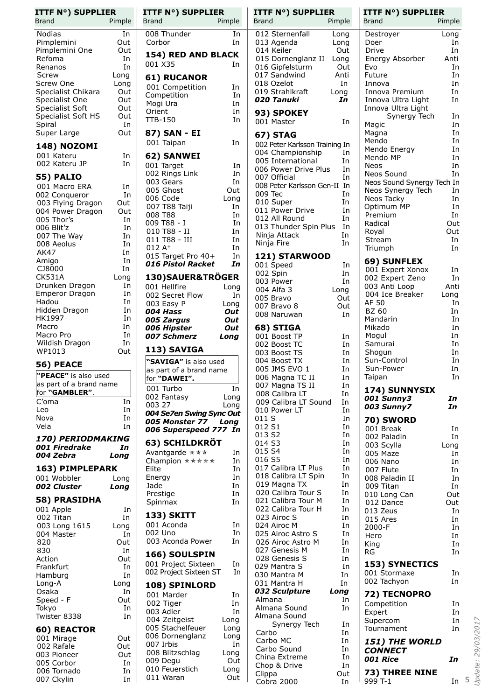| ITTF N°) SUPPLIER                                  |            |
|----------------------------------------------------|------------|
| <b>Brand</b>                                       | Pimple     |
| Nodias                                             | In         |
| Pimplemini                                         | Out        |
| Pimplemini One                                     | Out        |
| Refoma                                             | In         |
| Renanos                                            | In         |
| Screw                                              | Long       |
| Screw One                                          | Long       |
| Specialist Chikar <mark>a</mark><br>Specialist One | Out        |
|                                                    | Out        |
| Specialist Soft                                    | Out        |
| Specialist Soft HS<br>Spiral                       | Out<br>In  |
| Super Large                                        | Out        |
|                                                    |            |
| 148) NOZOMI                                        |            |
| 001 Kateru<br>002 Kateru JP                        | In<br>In   |
|                                                    |            |
| 55) PALIO                                          |            |
| 001 Macro ERA                                      | In         |
| 002 Conqueror                                      | In<br>Out  |
| 003 Flying Dragon<br>004 Power Dragon              | Out        |
| 005 Thor's                                         | In         |
| 006 Blit'z                                         | In         |
| 007 The Way                                        | In         |
| 008 Aeolus                                         | In         |
| AK47                                               | In         |
| Amigo                                              | In         |
| CJ8000                                             | In         |
| <b>CK531A</b>                                      | Long       |
| Drunken Dragon                                     | In<br>In   |
| <b>Emperor Dragon</b><br>Hadou                     | In         |
| Hidden Dragon                                      | In         |
| HK1997                                             | In         |
| Macro                                              | In         |
| Macro Pro                                          | In         |
| Wildish Dragon                                     | In         |
| WP1013                                             | Out        |
| 56) PEACE                                          |            |
|                                                    |            |
|                                                    | 1          |
| "PEACE" is also used<br>as part of a brand name    |            |
| for "GAMBLER".                                     |            |
| C'oma                                              | In         |
| Leo                                                | In         |
| Nova                                               | In         |
| Vela                                               | In         |
| 170) PERIODMAKING                                  |            |
| 001 Firedrake<br>004 Zebra                         | In<br>Long |
|                                                    |            |
| 163) PIMPLEPARK                                    |            |
| 001 Wobbler<br><b>002 Cluster</b>                  | Long       |
|                                                    | Long       |
| <b>58) PRASIDHA</b>                                |            |
| 001 Apple                                          | In         |
| 002 Titan                                          | In         |
| 003 Long 1615                                      | Long<br>In |
| 004 Master<br>820                                  | Out        |
| 830                                                | In         |
| Action                                             | Out        |
| Frankfurt                                          | In         |
| Hamburg                                            | In         |
| Long-A                                             | Long       |
| Osaka                                              | In         |
| Speed - F                                          | Out        |
| Tokyo<br>Twister 8338                              | In<br>In   |
|                                                    |            |
| 60) REACTOR                                        |            |
| 001 Mirage                                         | Out        |
| 002 Rafale                                         | Out        |
| 003 Pioneer<br>005 Corbor                          | Out<br>In  |
| 006 Tornado<br>007 Ckylin                          | In<br>In   |

| 008 Thunder<br>In<br>Corbor<br>In<br>154) RED AND BLACK<br>001 X35<br>In<br><b>61) RUCANOR</b><br>001 Competition<br>In<br>Competition<br>In<br>Mogi Ura<br>In<br>Orient<br>In<br><b>TTB-150</b><br>In<br>87) SAN - EI<br>001 Taipan<br>In<br>62) SANWEI<br>001 Target<br>In<br>002 Rings Link<br>In<br>003 Gears<br>In<br>005 Ghost<br>Out<br>006 Code<br>007 T88 Taiji<br>Long<br>In<br>008 T88<br>In<br>009 T88 - I<br>In<br>010 T88 - II<br>In<br>011 T88 - III<br>In<br>$012A+$<br>In<br>015 Target Pro 40+<br>In<br>016 Pistol Racket<br>In<br>130)SAUER&TRÖGER<br>001 Hellfire<br>Long<br>002 Secret Flow<br>In<br>003 Easy P<br>Long<br>004 Hass<br>Out<br>005 Zargus<br>Out<br>006 Hipster<br>007 Schmerz<br>Out<br>Long<br>113) SAVIGA<br>"SAVIGA" is also used<br>as part of a brand name<br>for "DAWEI".<br>001 Turbo<br>In<br>002 Fantasy<br>Long<br>003 27<br>Long<br>004 Se7en Swing Sync Out<br>005 Monster 77 Long<br>006 Superspeed 777 In<br>63) SCHILDKRÖT<br>Avantgarde ***<br>In<br>Champion *****<br>In<br>Elite<br>In<br>Energy<br>In<br>Jade<br>In<br>Prestige<br>In<br>Spinmax<br>In<br>133) SKITT<br>001 Aconda<br>In<br>002 Uno<br>In<br>003 Aconda Power<br>In<br>166) SOULSPIN<br>001 Project Sixteen<br>In<br>002 Project Sixteen ST<br>In<br>108) SPINLORD<br>001 Marder<br>In<br>002 Tiger<br>In<br>003 Adler<br>In<br>004 Zeitgeist<br>Long<br>005 Stachelfeuer<br>Long<br>006 Dornenglanz<br>Long<br>007 Irbis<br>In<br>008 Blitzschlag<br>Long<br>009 Degu<br>Out<br>010 Feuerstich<br>Long<br>011 Waran<br>Out | <b>ITTF N°) SUPPLIER</b><br>Brand | Pimple |
|-----------------------------------------------------------------------------------------------------------------------------------------------------------------------------------------------------------------------------------------------------------------------------------------------------------------------------------------------------------------------------------------------------------------------------------------------------------------------------------------------------------------------------------------------------------------------------------------------------------------------------------------------------------------------------------------------------------------------------------------------------------------------------------------------------------------------------------------------------------------------------------------------------------------------------------------------------------------------------------------------------------------------------------------------------------------------------------------------------------------------------------------------------------------------------------------------------------------------------------------------------------------------------------------------------------------------------------------------------------------------------------------------------------------------------------------------------------------------------------------------------------------------------------------------------|-----------------------------------|--------|
|                                                                                                                                                                                                                                                                                                                                                                                                                                                                                                                                                                                                                                                                                                                                                                                                                                                                                                                                                                                                                                                                                                                                                                                                                                                                                                                                                                                                                                                                                                                                                     |                                   |        |
|                                                                                                                                                                                                                                                                                                                                                                                                                                                                                                                                                                                                                                                                                                                                                                                                                                                                                                                                                                                                                                                                                                                                                                                                                                                                                                                                                                                                                                                                                                                                                     |                                   |        |
|                                                                                                                                                                                                                                                                                                                                                                                                                                                                                                                                                                                                                                                                                                                                                                                                                                                                                                                                                                                                                                                                                                                                                                                                                                                                                                                                                                                                                                                                                                                                                     |                                   |        |
|                                                                                                                                                                                                                                                                                                                                                                                                                                                                                                                                                                                                                                                                                                                                                                                                                                                                                                                                                                                                                                                                                                                                                                                                                                                                                                                                                                                                                                                                                                                                                     |                                   |        |
|                                                                                                                                                                                                                                                                                                                                                                                                                                                                                                                                                                                                                                                                                                                                                                                                                                                                                                                                                                                                                                                                                                                                                                                                                                                                                                                                                                                                                                                                                                                                                     |                                   |        |
|                                                                                                                                                                                                                                                                                                                                                                                                                                                                                                                                                                                                                                                                                                                                                                                                                                                                                                                                                                                                                                                                                                                                                                                                                                                                                                                                                                                                                                                                                                                                                     |                                   |        |
|                                                                                                                                                                                                                                                                                                                                                                                                                                                                                                                                                                                                                                                                                                                                                                                                                                                                                                                                                                                                                                                                                                                                                                                                                                                                                                                                                                                                                                                                                                                                                     |                                   |        |
|                                                                                                                                                                                                                                                                                                                                                                                                                                                                                                                                                                                                                                                                                                                                                                                                                                                                                                                                                                                                                                                                                                                                                                                                                                                                                                                                                                                                                                                                                                                                                     |                                   |        |
|                                                                                                                                                                                                                                                                                                                                                                                                                                                                                                                                                                                                                                                                                                                                                                                                                                                                                                                                                                                                                                                                                                                                                                                                                                                                                                                                                                                                                                                                                                                                                     |                                   |        |
|                                                                                                                                                                                                                                                                                                                                                                                                                                                                                                                                                                                                                                                                                                                                                                                                                                                                                                                                                                                                                                                                                                                                                                                                                                                                                                                                                                                                                                                                                                                                                     |                                   |        |
|                                                                                                                                                                                                                                                                                                                                                                                                                                                                                                                                                                                                                                                                                                                                                                                                                                                                                                                                                                                                                                                                                                                                                                                                                                                                                                                                                                                                                                                                                                                                                     |                                   |        |
|                                                                                                                                                                                                                                                                                                                                                                                                                                                                                                                                                                                                                                                                                                                                                                                                                                                                                                                                                                                                                                                                                                                                                                                                                                                                                                                                                                                                                                                                                                                                                     |                                   |        |
|                                                                                                                                                                                                                                                                                                                                                                                                                                                                                                                                                                                                                                                                                                                                                                                                                                                                                                                                                                                                                                                                                                                                                                                                                                                                                                                                                                                                                                                                                                                                                     |                                   |        |
|                                                                                                                                                                                                                                                                                                                                                                                                                                                                                                                                                                                                                                                                                                                                                                                                                                                                                                                                                                                                                                                                                                                                                                                                                                                                                                                                                                                                                                                                                                                                                     |                                   |        |
|                                                                                                                                                                                                                                                                                                                                                                                                                                                                                                                                                                                                                                                                                                                                                                                                                                                                                                                                                                                                                                                                                                                                                                                                                                                                                                                                                                                                                                                                                                                                                     |                                   |        |
|                                                                                                                                                                                                                                                                                                                                                                                                                                                                                                                                                                                                                                                                                                                                                                                                                                                                                                                                                                                                                                                                                                                                                                                                                                                                                                                                                                                                                                                                                                                                                     |                                   |        |
|                                                                                                                                                                                                                                                                                                                                                                                                                                                                                                                                                                                                                                                                                                                                                                                                                                                                                                                                                                                                                                                                                                                                                                                                                                                                                                                                                                                                                                                                                                                                                     |                                   |        |
|                                                                                                                                                                                                                                                                                                                                                                                                                                                                                                                                                                                                                                                                                                                                                                                                                                                                                                                                                                                                                                                                                                                                                                                                                                                                                                                                                                                                                                                                                                                                                     |                                   |        |
|                                                                                                                                                                                                                                                                                                                                                                                                                                                                                                                                                                                                                                                                                                                                                                                                                                                                                                                                                                                                                                                                                                                                                                                                                                                                                                                                                                                                                                                                                                                                                     |                                   |        |
|                                                                                                                                                                                                                                                                                                                                                                                                                                                                                                                                                                                                                                                                                                                                                                                                                                                                                                                                                                                                                                                                                                                                                                                                                                                                                                                                                                                                                                                                                                                                                     |                                   |        |
|                                                                                                                                                                                                                                                                                                                                                                                                                                                                                                                                                                                                                                                                                                                                                                                                                                                                                                                                                                                                                                                                                                                                                                                                                                                                                                                                                                                                                                                                                                                                                     |                                   |        |
|                                                                                                                                                                                                                                                                                                                                                                                                                                                                                                                                                                                                                                                                                                                                                                                                                                                                                                                                                                                                                                                                                                                                                                                                                                                                                                                                                                                                                                                                                                                                                     |                                   |        |
|                                                                                                                                                                                                                                                                                                                                                                                                                                                                                                                                                                                                                                                                                                                                                                                                                                                                                                                                                                                                                                                                                                                                                                                                                                                                                                                                                                                                                                                                                                                                                     |                                   |        |
|                                                                                                                                                                                                                                                                                                                                                                                                                                                                                                                                                                                                                                                                                                                                                                                                                                                                                                                                                                                                                                                                                                                                                                                                                                                                                                                                                                                                                                                                                                                                                     |                                   |        |
|                                                                                                                                                                                                                                                                                                                                                                                                                                                                                                                                                                                                                                                                                                                                                                                                                                                                                                                                                                                                                                                                                                                                                                                                                                                                                                                                                                                                                                                                                                                                                     |                                   |        |
|                                                                                                                                                                                                                                                                                                                                                                                                                                                                                                                                                                                                                                                                                                                                                                                                                                                                                                                                                                                                                                                                                                                                                                                                                                                                                                                                                                                                                                                                                                                                                     |                                   |        |
|                                                                                                                                                                                                                                                                                                                                                                                                                                                                                                                                                                                                                                                                                                                                                                                                                                                                                                                                                                                                                                                                                                                                                                                                                                                                                                                                                                                                                                                                                                                                                     |                                   |        |
|                                                                                                                                                                                                                                                                                                                                                                                                                                                                                                                                                                                                                                                                                                                                                                                                                                                                                                                                                                                                                                                                                                                                                                                                                                                                                                                                                                                                                                                                                                                                                     |                                   |        |
|                                                                                                                                                                                                                                                                                                                                                                                                                                                                                                                                                                                                                                                                                                                                                                                                                                                                                                                                                                                                                                                                                                                                                                                                                                                                                                                                                                                                                                                                                                                                                     |                                   |        |
|                                                                                                                                                                                                                                                                                                                                                                                                                                                                                                                                                                                                                                                                                                                                                                                                                                                                                                                                                                                                                                                                                                                                                                                                                                                                                                                                                                                                                                                                                                                                                     |                                   |        |
|                                                                                                                                                                                                                                                                                                                                                                                                                                                                                                                                                                                                                                                                                                                                                                                                                                                                                                                                                                                                                                                                                                                                                                                                                                                                                                                                                                                                                                                                                                                                                     |                                   |        |
|                                                                                                                                                                                                                                                                                                                                                                                                                                                                                                                                                                                                                                                                                                                                                                                                                                                                                                                                                                                                                                                                                                                                                                                                                                                                                                                                                                                                                                                                                                                                                     |                                   |        |
|                                                                                                                                                                                                                                                                                                                                                                                                                                                                                                                                                                                                                                                                                                                                                                                                                                                                                                                                                                                                                                                                                                                                                                                                                                                                                                                                                                                                                                                                                                                                                     |                                   |        |
|                                                                                                                                                                                                                                                                                                                                                                                                                                                                                                                                                                                                                                                                                                                                                                                                                                                                                                                                                                                                                                                                                                                                                                                                                                                                                                                                                                                                                                                                                                                                                     |                                   |        |
|                                                                                                                                                                                                                                                                                                                                                                                                                                                                                                                                                                                                                                                                                                                                                                                                                                                                                                                                                                                                                                                                                                                                                                                                                                                                                                                                                                                                                                                                                                                                                     |                                   |        |
|                                                                                                                                                                                                                                                                                                                                                                                                                                                                                                                                                                                                                                                                                                                                                                                                                                                                                                                                                                                                                                                                                                                                                                                                                                                                                                                                                                                                                                                                                                                                                     |                                   |        |
|                                                                                                                                                                                                                                                                                                                                                                                                                                                                                                                                                                                                                                                                                                                                                                                                                                                                                                                                                                                                                                                                                                                                                                                                                                                                                                                                                                                                                                                                                                                                                     |                                   |        |
|                                                                                                                                                                                                                                                                                                                                                                                                                                                                                                                                                                                                                                                                                                                                                                                                                                                                                                                                                                                                                                                                                                                                                                                                                                                                                                                                                                                                                                                                                                                                                     |                                   |        |
|                                                                                                                                                                                                                                                                                                                                                                                                                                                                                                                                                                                                                                                                                                                                                                                                                                                                                                                                                                                                                                                                                                                                                                                                                                                                                                                                                                                                                                                                                                                                                     |                                   |        |
|                                                                                                                                                                                                                                                                                                                                                                                                                                                                                                                                                                                                                                                                                                                                                                                                                                                                                                                                                                                                                                                                                                                                                                                                                                                                                                                                                                                                                                                                                                                                                     |                                   |        |
|                                                                                                                                                                                                                                                                                                                                                                                                                                                                                                                                                                                                                                                                                                                                                                                                                                                                                                                                                                                                                                                                                                                                                                                                                                                                                                                                                                                                                                                                                                                                                     |                                   |        |
|                                                                                                                                                                                                                                                                                                                                                                                                                                                                                                                                                                                                                                                                                                                                                                                                                                                                                                                                                                                                                                                                                                                                                                                                                                                                                                                                                                                                                                                                                                                                                     |                                   |        |
|                                                                                                                                                                                                                                                                                                                                                                                                                                                                                                                                                                                                                                                                                                                                                                                                                                                                                                                                                                                                                                                                                                                                                                                                                                                                                                                                                                                                                                                                                                                                                     |                                   |        |
|                                                                                                                                                                                                                                                                                                                                                                                                                                                                                                                                                                                                                                                                                                                                                                                                                                                                                                                                                                                                                                                                                                                                                                                                                                                                                                                                                                                                                                                                                                                                                     |                                   |        |
|                                                                                                                                                                                                                                                                                                                                                                                                                                                                                                                                                                                                                                                                                                                                                                                                                                                                                                                                                                                                                                                                                                                                                                                                                                                                                                                                                                                                                                                                                                                                                     |                                   |        |
|                                                                                                                                                                                                                                                                                                                                                                                                                                                                                                                                                                                                                                                                                                                                                                                                                                                                                                                                                                                                                                                                                                                                                                                                                                                                                                                                                                                                                                                                                                                                                     |                                   |        |

| <b>ITTF N°) SUPPLIER</b>                               | <b>ITTF N°) SUPPLIER</b>                        |
|--------------------------------------------------------|-------------------------------------------------|
| <b>Brand</b>                                           | Brand                                           |
| Pimple                                                 | Pimple                                          |
| 012 Sternenfall                                        | Destroyer                                       |
| Long                                                   | Long                                            |
| 013 Agenda                                             | In                                              |
| Long                                                   | Doer                                            |
| 014 Keiler                                             | In                                              |
| Out                                                    | Drive                                           |
| 015 Dornenglanz II                                     | Anti                                            |
| Long                                                   | Energy Absorber                                 |
| 016 Gipfelsturm                                        | In                                              |
| Out                                                    | Evo                                             |
| 017 Sandwind                                           | In                                              |
| Anti                                                   | Future                                          |
| 018 Ozelot                                             | In                                              |
| In                                                     | Innova                                          |
| 019 Strahlkraft                                        | In                                              |
| Long                                                   | Innova Premium                                  |
| 020 Tanuki<br>In                                       | Innova Ultra Light<br>In<br>Innova Ultra Light  |
| 93) SPOKEY                                             | Synergy Tech<br>In                              |
| In                                                     | Magic                                           |
| 001 Master                                             | In                                              |
| <b>67) STAG</b>                                        | In<br>Magna                                     |
| 002 Peter Karlsson Training In                         | Mendo<br>In                                     |
| 004 Championship<br>In                                 | In<br>Mendo Energy<br>In<br>Mendo MP            |
| 005 International                                      | In                                              |
| In                                                     | <b>Neos</b>                                     |
| 006 Power Drive Plus<br>In<br>007 Official<br>In       | Neos Sound<br>In                                |
| 008 Peter Karlsson Gen-II In                           | Neos Sound Synergy Tech In                      |
| In                                                     | Neos Synergy Tech                               |
| 009 Tec                                                | In                                              |
| 010 Super<br>In                                        | Neos Tacky<br>In<br>Optimum MP<br>In            |
| 011 Power Drive                                        | In                                              |
| In                                                     | Premium                                         |
| 012 All Round<br>In<br>013 Thunder Spin Plus<br>In     | Out<br>Radical                                  |
| Ninja Attack                                           | Out                                             |
| In                                                     | Royal                                           |
| In                                                     | In                                              |
| Ninja Fire                                             | Stream                                          |
| <b>121) STARWOOD</b>                                   | Triumph<br>In                                   |
| 001 Speed<br>In                                        | 69) SUNFLEX                                     |
| 002 Spin<br>In                                         | 001 Expert Xonox<br>In<br>002 Expert Zeno<br>In |
| In                                                     | 003 Anti Loop                                   |
| 003 Power                                              | Anti                                            |
| 004 Alfa 3<br>Long<br>005 Bravo<br>Out                 | 004 Ice Breaker<br>Long                         |
| 007 Bravo 8                                            | AF 50                                           |
| Out                                                    | In                                              |
| 008 Naruwan                                            | <b>BZ 60</b>                                    |
| In                                                     | In                                              |
|                                                        | Mandarin<br>In<br>In<br>Mikado                  |
| 68) STIGA<br>001 Boost TP<br>In                        | In<br>Mogul                                     |
| 002 Boost TC                                           | Samurai                                         |
| In                                                     | In                                              |
| In                                                     | In                                              |
| 003 Boost TS                                           | Shogun                                          |
| In                                                     | In                                              |
| 004 Boost TX                                           | Sun-Control                                     |
| 005 JMS EVO 1                                          | Sun-Power                                       |
| In                                                     | In                                              |
| 006 Magna TC II<br>In<br>007 Magna TS II<br>In         | In<br>Taipan                                    |
| 008 Calibra LT<br>In                                   | 174) SUNNYSIX                                   |
| 009 Calibra LT Sound<br>In                             | 001 Sunny3<br>In<br>003 Sunny7<br>In            |
| 010 Power LT<br>In                                     |                                                 |
| 011 S<br>In<br>012 S1<br>In                            | 70) SWORD                                       |
| In<br>013 S2                                           | 001 Break<br>In<br>002 Paladin<br>In            |
| 014 S3                                                 | 003 Scylla                                      |
| In                                                     | Long                                            |
| 015 S4                                                 | 005 Maze                                        |
| In                                                     | In                                              |
| 016 S5                                                 | 006 Nano                                        |
| In                                                     | In                                              |
| 017 Calibra LT Plus<br>In<br>In<br>018 Calibra LT Spin | 007 Flute<br>In                                 |
| 019 Magna TX<br>In                                     | 008 Paladin II<br>In<br>009 Titan<br>In         |
| 020 Calibra Tour S                                     | 010 Long Can                                    |
| In                                                     | Out                                             |
| 021 Calibra Tour M                                     | 012 Dance                                       |
| In                                                     | Out                                             |
| 022 Calibra Tour H                                     | 013 Zeus                                        |
| In                                                     | In                                              |
| 023 Airoc S<br>In<br>024 Airoc M<br>In                 | 015 Ares<br>In                                  |
| 025 Airoc Astro S<br>In                                | 2000-F<br>In<br>In<br>Hero                      |
| 026 Airoc Astro M                                      | In                                              |
| In                                                     | King                                            |
| 027 Genesis M                                          | In                                              |
| In                                                     | RG                                              |
| 028 Genesis S<br>In                                    | <b>153) SYNECTICS</b>                           |
| 029 Mantra S<br>In<br>030 Mantra M<br>In               | 001 Stormaxe<br>In                              |
| 031 Mantra H                                           | 002 Tachyon                                     |
| In                                                     | In                                              |
| 032 Sculpture<br>Long                                  | 72) TECNOPRO                                    |
| Almana                                                 | Competition                                     |
| In                                                     | In                                              |
| Almana Sound<br>In<br>Almana Sound                     | In<br>Expert                                    |
| Synergy Tech                                           | In                                              |
| In                                                     | Supercom                                        |
| Carbo                                                  | Tournament                                      |
| In                                                     | In                                              |
| Carbo MC<br>In                                         | 151) THE WORLD                                  |
| Carbo Sound<br>In<br>China Extreme<br>In               | <b>CONNECT</b>                                  |
| Chop & Drive                                           | <b>001 Rice</b>                                 |
| In                                                     | In                                              |
| Clippa<br>Out                                          | 73) THREE NINE                                  |
| Cobra 2000                                             | 999 T-1                                         |
| In                                                     | In                                              |
|                                                        |                                                 |

**un**<br>Update: 29/03/2017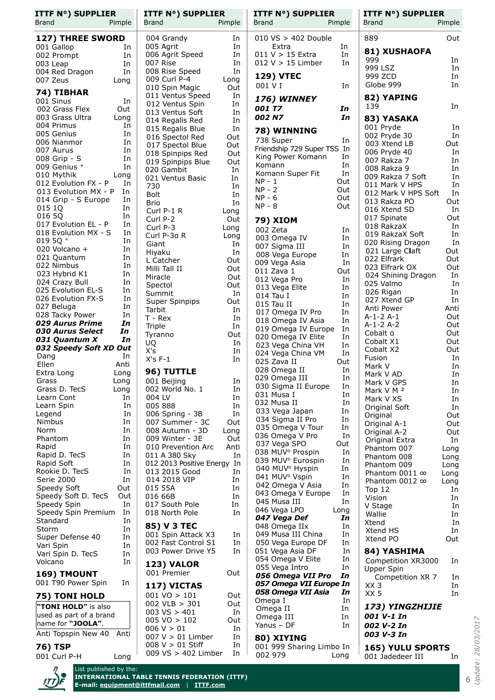| <b>ITTF N°) SUPPLIER</b>                                             | <b>ITTF N°) SUPPLIER</b>                          | <b>ITTF N°) SUPPLIER</b>                                   | <b>ITTF N°) SUPPLIER</b>                   |
|----------------------------------------------------------------------|---------------------------------------------------|------------------------------------------------------------|--------------------------------------------|
| Brand<br>Pimple                                                      | <b>Brand</b><br>Pimple                            | <b>Brand</b><br>Pimple                                     | <b>Brand</b><br>Pimple                     |
| 127) THREE SWORD                                                     | 004 Grandy<br>In                                  | $010\ \text{VS} > 402\ \text{Double}$                      | Out<br>889                                 |
| 001 Gallop<br>In                                                     | In<br>005 Agrit<br>006 Agrit Speed<br>In          | Extra<br>In<br>In<br>$011 V > 15$ Extra                    | 81) XUSHAOFA                               |
| 002 Prompt<br>In<br>In<br>003 Leap                                   | In<br>007 Rise                                    | $012 V > 15$ Limber<br>In                                  | 999<br>In                                  |
| In<br>004 Red Dragon                                                 | In<br>008 Rise Speed                              | <b>129) VTEC</b>                                           | 999 LSZ<br>In                              |
| 007 Zeus<br>Long                                                     | 009 Curl P-4<br>Long                              | 001 V I<br>In                                              | 999 ZCD<br>In<br>Globe 999<br>In           |
| 74) TIBHAR                                                           | 010 Spin Magic<br>Out<br>011 Ventus Speed<br>In   |                                                            |                                            |
| 001 Sinus<br>In                                                      | In<br>012 Ventus Spin                             | 176) WINNEY<br><b>001 T7</b>                               | 82) YAPING<br>139<br>In                    |
| 002 Grass Flex<br>Out<br>003 Grass Ultra<br>Long                     | 013 Ventus Soft<br>In                             | In<br>In<br>002 N7                                         |                                            |
| 004 Primus<br>In                                                     | 014 Regalis Red<br>In<br>In                       |                                                            | 83) YASAKA<br>001 Pryde<br>In              |
| 005 Genius<br>In                                                     | 015 Regalis Blue<br>016 Spectol Red<br>Out        | 78) WINNING                                                | 002 Pryde 30<br>In                         |
| 006 Nianmor<br>In                                                    | Out<br>017 Spectol Blue                           | 738 Super<br>In<br>Friendship 729 Super TSS In             | 003 Xtend LB<br>Out                        |
| 007 Aurus<br>In<br>008 Grip - S<br>In                                | Out<br>018 Spinpips Red                           | King Power Komann<br>In                                    | In<br>006 Pryde 40                         |
| 009 Genius +<br>In                                                   | 019 Spinpips Blue<br>Out<br>020 Gambit<br>In      | Komann<br>In                                               | 007 Rakza 7<br>In<br>008 Rakza 9<br>In     |
| 010 Mythik<br>Long                                                   | 021 Ventus Basic<br>In                            | In<br>Komann Super Fit                                     | In<br>009 Rakza 7 Soft                     |
| 012 Evolution FX - P<br>In                                           | 730<br>In                                         | $NP - 1$<br>Out<br>$NP - 2$<br>Out                         | In<br>011 Mark V HPS                       |
| 013 Evolution MX - P<br>In<br>014 Grip - S Europe<br>In              | <b>Bolt</b><br>In                                 | $NP - 6$<br>Out                                            | 012 Mark V HPS Soft<br>In                  |
| 015 1Q<br>In                                                         | <b>Brio</b><br>In<br>Curl P-1 R                   | $NP - 8$<br>Out                                            | 013 Rakza PO<br>Out<br>In<br>016 Xtend SD  |
| 016 5Q<br>In                                                         | Long<br>Curl P-2<br>Out                           | <b>79) XIOM</b>                                            | Out<br>017 Spinate                         |
| 017 Evolution EL - P<br>In                                           | Curl P-3<br>Long                                  | 002 Zeta<br>In                                             | In<br>018 RakzaX                           |
| 018 Evolution MX - S<br>In<br>019 5Q +<br>In                         | Curl P-3a R<br>Long                               | 003 Omega IV<br>In                                         | In<br>019 RakzaX Soft                      |
| In<br>020 Volcano +                                                  | Giant<br>In                                       | In<br>007 Sigma III                                        | In<br>020 Rising Dragon<br>Out             |
| 021 Quantum<br>In                                                    | In<br>Hiyaku<br>L Catcher<br>Out                  | 008 Vega Europe<br>In                                      | 021 Large Claft<br>022 Elfrark<br>Out      |
| 022 Nimbus<br>In                                                     | Milli Tall II<br>Out                              | 009 Vega Asia<br>In<br>011 Zava 1<br>Out                   | Out<br>023 Elfrark OX                      |
| 023 Hybrid K1<br>In                                                  | Miracle<br>Out                                    | 012 Vega Pro<br>In                                         | In<br>024 Shining Dragon                   |
| 024 Crazy Bull<br>In<br>025 Evolution EL-S<br>In                     | Spectol<br>Out                                    | 013 Vega Elite<br>In                                       | 025 Valmo<br>In                            |
| 026 Evolution FX-S<br>In                                             | In<br>Summit<br>Out                               | In<br>014 Tau I                                            | In<br>026 Rigan<br>In<br>027 Xtend GP      |
| 027 Beluga<br>In                                                     | <b>Super Spinpips</b><br>Tarbit<br>In             | 015 Tau II<br>In                                           | Anti<br>Anti Power                         |
| 028 Tacky Power<br>In                                                | T - Rex<br>In                                     | In<br>017 Omega IV Pro<br>018 Omega IV Asia<br>In          | Out<br>A-1-2 A-1                           |
| <i><b>029 Aurus Prime</b></i><br>In<br><b>030 Aurus Select</b><br>In | In<br>Triple                                      | 019 Omega IV Europe<br>In                                  | $A-1-2A-2$<br>Out                          |
| In<br>031 Quantum X                                                  | Tyranno<br>Out                                    | 020 Omega IV Elite<br>In                                   | Out<br>Cobalt a<br>Cobalt X1<br>Out        |
| 032 Speedy Soft XD Out                                               | <b>UQ</b><br>In<br>X's<br>In                      | In<br>023 Vega China VH                                    | Out<br>Cobalt X2                           |
| Dang<br>In                                                           | $X's F-1$<br>In                                   | In<br>024 Vega China VM<br>025 Zava II<br>Out              | In<br>Fusion                               |
| Ellen<br>Anti<br>Extra Long<br>Long                                  | 96) TUTTLE                                        | In<br>028 Omega II                                         | In<br>Mark V<br>In<br>Mark V AD            |
| Grass<br>Long                                                        | 001 Beijing<br>In                                 | 029 Omega III<br>In                                        | Mark V GPS<br>In                           |
| Grass D. TecS<br>Long                                                | 002 World No. 1<br>In                             | 030 Sigma II Europe<br>In<br>031 Musa I<br>In              | Mark V M <sup>2</sup><br>In                |
| Learn Cont<br>In                                                     | 004 LV<br>In                                      | 032 Musa II<br>In                                          | Mark V XS<br>In                            |
| Learn Spin<br>In<br>In<br>Legend                                     | 005 888<br>In<br>006 Spring - 3B<br>In            | 033 Vega Japan<br>In                                       | In<br>Original Soft                        |
| Nimbus<br>In                                                         | 007 Summer - 3C<br>Out                            | 034 Sigma II Pro<br>In                                     | Out<br>Original<br>Out<br>Original A-1     |
| Norm<br>In                                                           | 008 Autumn - 3D<br>Long                           | 035 Omega V Tour<br>In                                     | Out<br>Original A-2                        |
| Phantom<br>In                                                        | 009 Winter - 3E<br>Out                            | 036 Omega V Pro<br>In<br>037 Vega SPO<br>Out               | In<br>Original Extra                       |
| Rapid<br>In<br>Rapid D. TecS<br>In                                   | 010 Prevention Arc<br>Anti<br>In<br>011 A 380 Sky | 038 MUV <sup>o</sup> Prospin<br>In                         | Phantom 007<br>Long                        |
| Rapid Soft<br>In                                                     | 012 2013 Positive Energy In                       | 039 MUV <sup>°</sup> Eurospin<br>In                        | Phantom 008<br>Long<br>Phantom 009<br>Long |
| Rookie D. TecS<br>In                                                 | 013 2015 Good<br>In                               | 040 MUV <sup>°</sup> Hyspin<br>In                          | Phantom 0011 $\infty$<br>Long              |
| Serie 2000<br>In                                                     | 014 2018 VIP<br>In                                | 041 MUV <sup>o</sup> Vspin<br>In<br>042 Omega V Asia<br>In | Phantom 0012 $\infty$<br>Long              |
| Speedy Soft<br>Out<br>Speedy Soft D. TecS<br>Out                     | 015 55A<br>In<br>016 66B<br>In                    | 043 Omega V Europe<br>In                                   | Top $12$<br>In                             |
| Speedy Spin<br>In                                                    | 017 South Pole<br>In                              | In<br>045 Musa III                                         | Vision<br>In<br>V Stage<br>In              |
| Speedy Spin Premium<br>In                                            | 018 North Pole<br>In.                             | 046 Vega LPO<br>Long                                       | Wallie<br>In                               |
| Standard<br>In                                                       | 85) V 3 TEC                                       | 047 Vega Def<br>In<br>048 Omega IIx<br>In                  | Xtend<br>In                                |
| Storm<br>In<br>Super Defense 40<br>In                                | 001 Spin Attack X3<br>In                          | 049 Musa III China<br>In                                   | Xtend HS<br>In                             |
| Vari Spin<br>In                                                      | 002 Fast Control S1<br>In                         | 050 Vega Europe DF<br>In                                   | Xtend PO<br>Out                            |
| Vari Spin D. TecS<br>In                                              | In<br>003 Power Drive Y5                          | 051 Vega Asia DF<br>In                                     | 84) YASHIMA                                |
| In<br>Volcano                                                        | <b>123) VALOR</b>                                 | 054 Omega V Elite<br>In<br>055 Vega Intro<br>In            | Competition XR3000<br>In                   |
| 169) TMOUNT                                                          | 001 Premier<br>Out                                | In<br>056 Omega VII Pro                                    | Upper Spin<br>Competition XR 7<br>In       |
| 001 T90 Power Spin<br>In                                             | 117) VICTAS                                       | 057 Omega VII Europe In                                    | XX 3<br>In                                 |
| 75) TONI HOLD                                                        | $001 \text{ VO} > 101$<br>Out                     | 058 Omega VII Asia<br>In                                   | XX 5<br>In                                 |
| "TONI HOLD" is also                                                  | $002$ VLB $> 301$<br>Out                          | Omega I<br>In<br>Omega II<br>In                            | 173) YINGZHIJIE                            |
| used as part of a brand                                              | 003 VS > 401<br>In                                | In<br>Omega III                                            | 001 V-1 In                                 |
| name for "JOOLA".                                                    | $005 \text{ VO} > 102$<br>Out<br>006 V > 01<br>In | Yanus - DF<br>In                                           | 002 V-2 In                                 |
| Anti Topspin New 40 Anti                                             | $007 V > 01$ Limber<br>In                         | 80) XIYING                                                 | 003 V-3 In                                 |
| <b>76) TSP</b>                                                       | $008 V > 01$ Stiff<br>In                          | 001 999 Sharing Limbo In                                   | <b>165) YULU SPORTS</b>                    |
| 001 Curl P-H<br>Long                                                 | 009 VS > 402 Limber<br>In                         | 002 979<br>Long                                            | 001 Jadedeer III<br>In                     |
| $\eta$<br>List published by the:                                     |                                                   |                                                            |                                            |

**ITDE** 

**INTERNATIONAL TABLE TENNIS FEDERATION (ITTF) E-mail: [equipment@ittfmail.com](mailto:equipment@ittfmail.com?subject=LARC%2035A)** | **[ITTF.com](http://www.ittf.com)**

6<br>Update: 28/03/2017 *Update: 28/03/2017*